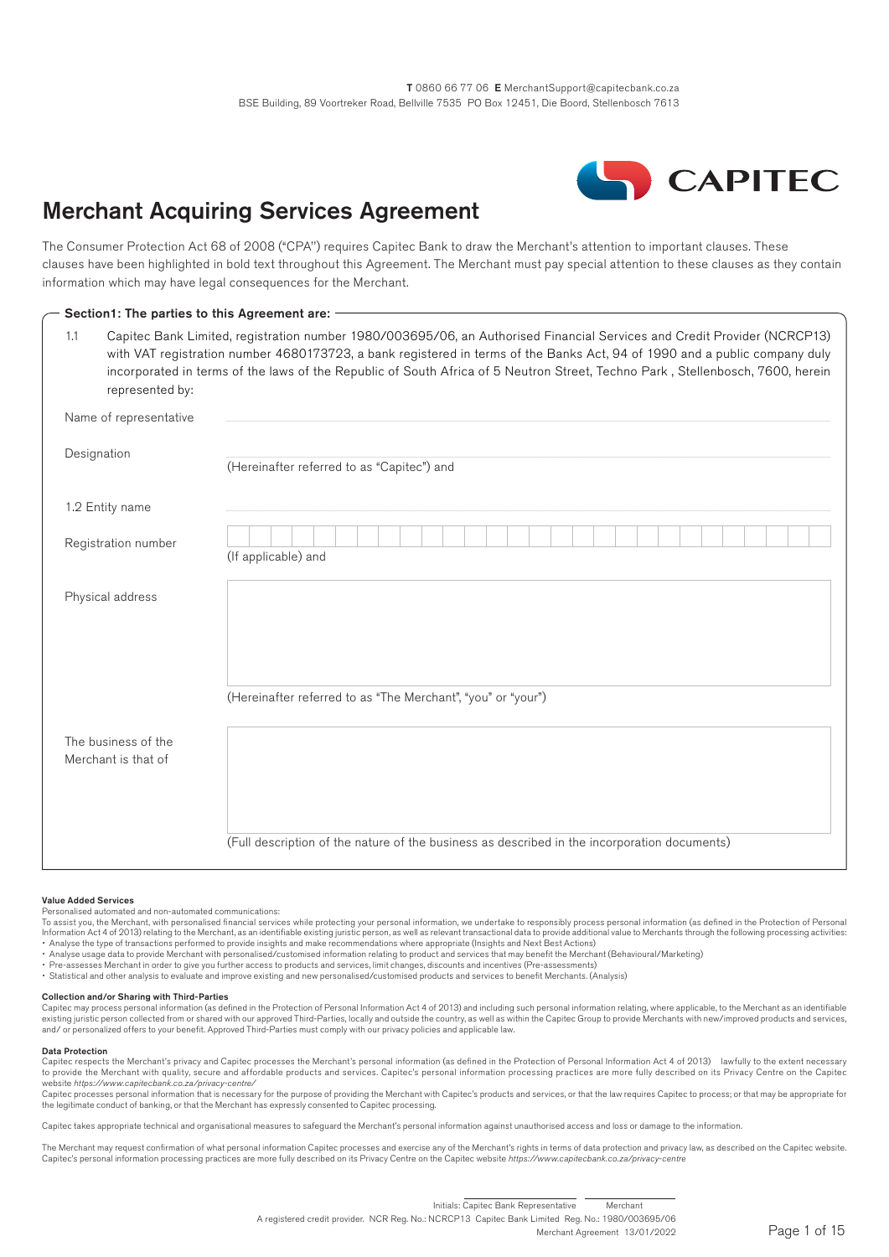

# Merchant Acquiring Services Agreement

The Consumer Protection Act 68 of 2008 ("CPA'') requires Capitec Bank to draw the Merchant's attention to important clauses. These clauses have been highlighted in bold text throughout this Agreement. The Merchant must pay special attention to these clauses as they contain information which may have legal consequences for the Merchant.

| 1.1<br>represented by:                     | Capitec Bank Limited, registration number 1980/003695/06, an Authorised Financial Services and Credit Provider (NCRCP13)<br>with VAT registration number 4680173723, a bank registered in terms of the Banks Act, 94 of 1990 and a public company duly<br>incorporated in terms of the laws of the Republic of South Africa of 5 Neutron Street, Techno Park, Stellenbosch, 7600, herein |
|--------------------------------------------|------------------------------------------------------------------------------------------------------------------------------------------------------------------------------------------------------------------------------------------------------------------------------------------------------------------------------------------------------------------------------------------|
| Name of representative                     |                                                                                                                                                                                                                                                                                                                                                                                          |
| Designation                                | (Hereinafter referred to as "Capitec") and                                                                                                                                                                                                                                                                                                                                               |
| 1.2 Entity name                            |                                                                                                                                                                                                                                                                                                                                                                                          |
| Registration number                        | (If applicable) and                                                                                                                                                                                                                                                                                                                                                                      |
| Physical address                           |                                                                                                                                                                                                                                                                                                                                                                                          |
|                                            |                                                                                                                                                                                                                                                                                                                                                                                          |
|                                            | (Hereinafter referred to as "The Merchant", "you" or "your")                                                                                                                                                                                                                                                                                                                             |
| The business of the<br>Merchant is that of |                                                                                                                                                                                                                                                                                                                                                                                          |
|                                            | (Full description of the nature of the business as described in the incorporation documents)                                                                                                                                                                                                                                                                                             |

#### Value Added Services

Personalised automated and non-automated communications:

To assist you, the Merchant, with personalised financial services while protecting your personal information, we undertake to responsibly process personal information (as defined in the Protection of Personal Information Act 4 of 2013) relating to the Merchant, as an identifiable existing juristic person, as well as relevant transactional data to provide additional value to Merchants through the following processing activities<br>

- Analyse usage data to provide Merchant with personalised/customised information relating to product and services that may benefit the Merchant (Behavioural/Marketing)
- 
- Pre-assesses Merchant in order to give you further access to products and services, limit changes, discounts and incentives (Pre-assessments)<br>• Statistical and other analysis to evaluate and improve existing and new pers

#### Collection and/or Sharing with Third-Parties

Capitec may process personal information (as defined in the Protection of Personal Information Act 4 of 2013) and including such personal information relating, where applicable, to the Merchant as an identifiable<br>existing and/ or personalized offers to your benefit. Approved Third-Parties must comply with our privacy policies and applicable law.

#### Data Protection

Capitec respects the Merchant's privacy and Capitec processes the Merchant's personal information (as defined in the Protection of Personal Information Act 4 of 2013) lawfully to the extent necessary to provide the Merchant with quality, secure and affordable products and services. Capitec's personal information processing practices are more fully described on its Privacy Centre on the Capitec

website *https://www.capitecbank.co.za/privacy-centre/*<br>Capitec processes personal information that is necessary for the purpose of providing the Merchant with Capitec's products and services, or that the law requires Capi the legitimate conduct of banking, or that the Merchant has expressly consented to Capitec processing.

Capitec takes appropriate technical and organisational measures to safeguard the Merchant's personal information against unauthorised access and loss or damage to the information.

The Merchant may request confirmation of what personal information Capitec processes and exercise any of the Merchant's rights in terms of data protection and privacy law, as described on the Capitec website. Capitec's personal information processing practices are more fully described on its Privacy Centre on the Capitec website *https://www.capitecbank.co.za/privacy-centre*

#### A registered credit provider. NCR Reg. No.: NCRCP13 Capitec Bank Limited Reg. No.: 1980/003695/06 Merchant Agreement 13/01/2022 Initials: Capitec Bank Representative Merchant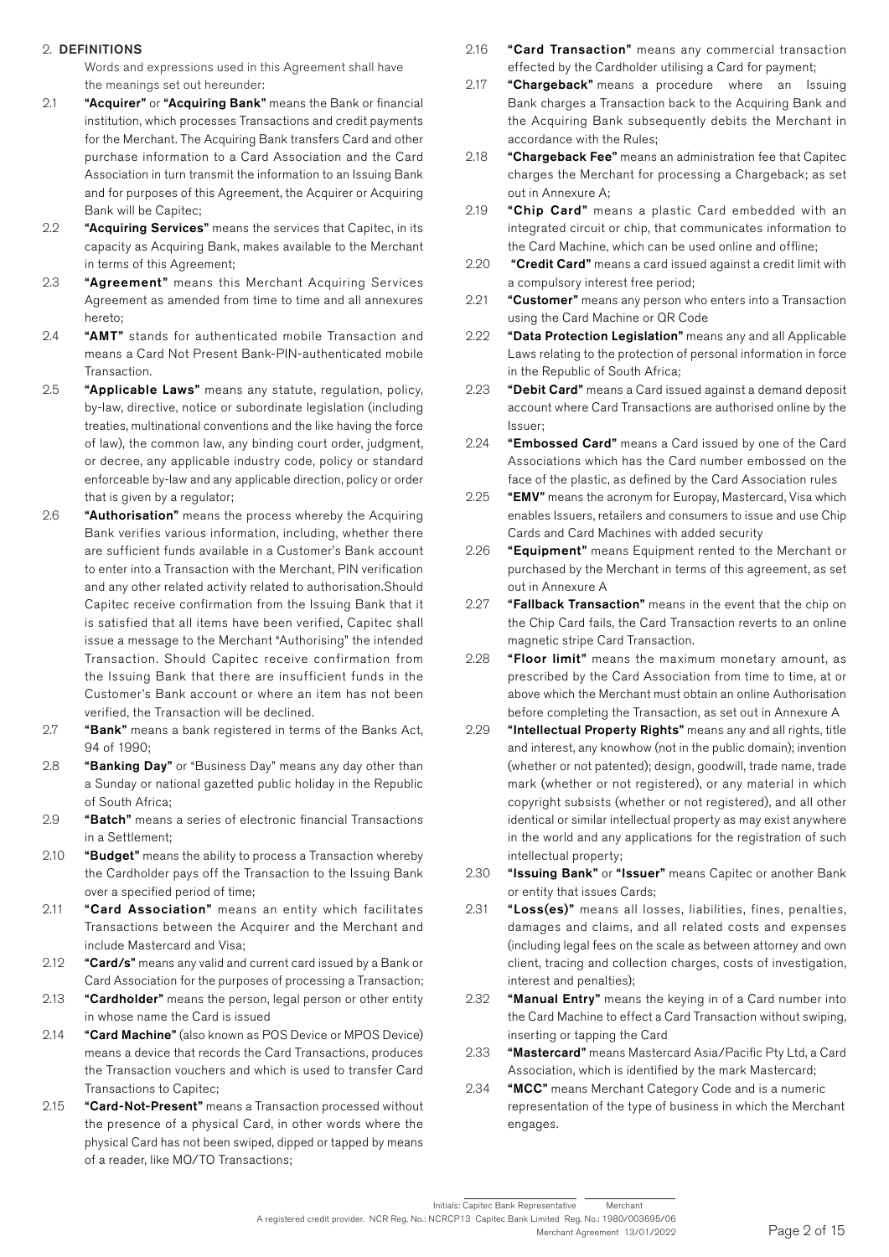### 2. DEFINITIONS

Words and expressions used in this Agreement shall have the meanings set out hereunder:

- 2.1 "Acquirer" or "Acquiring Bank" means the Bank or financial institution, which processes Transactions and credit payments for the Merchant. The Acquiring Bank transfers Card and other purchase information to a Card Association and the Card Association in turn transmit the information to an Issuing Bank and for purposes of this Agreement, the Acquirer or Acquiring Bank will be Capitec;
- 2.2 "Acquiring Services" means the services that Capitec, in its capacity as Acquiring Bank, makes available to the Merchant in terms of this Agreement;
- 2.3 "Agreement" means this Merchant Acquiring Services Agreement as amended from time to time and all annexures hereto;
- 2.4 "AMT" stands for authenticated mobile Transaction and means a Card Not Present Bank-PIN-authenticated mobile Transaction.
- 2.5 "Applicable Laws" means any statute, regulation, policy, by-law, directive, notice or subordinate legislation (including treaties, multinational conventions and the like having the force of law), the common law, any binding court order, judgment, or decree, any applicable industry code, policy or standard enforceable by-law and any applicable direction, policy or order that is given by a regulator;
- 2.6 "Authorisation" means the process whereby the Acquiring Bank verifies various information, including, whether there are sufficient funds available in a Customer's Bank account to enter into a Transaction with the Merchant, PIN verification and any other related activity related to authorisation.Should Capitec receive confirmation from the Issuing Bank that it is satisfied that all items have been verified, Capitec shall issue a message to the Merchant "Authorising" the intended Transaction. Should Capitec receive confirmation from the Issuing Bank that there are insufficient funds in the Customer's Bank account or where an item has not been verified, the Transaction will be declined.
- 2.7 "Bank" means a bank registered in terms of the Banks Act, 94 of 1990;
- 2.8 **"Banking Day"** or "Business Day" means any day other than a Sunday or national gazetted public holiday in the Republic of South Africa;
- 2.9 **"Batch"** means a series of electronic financial Transactions in a Settlement;
- 2.10 **"Budget"** means the ability to process a Transaction whereby the Cardholder pays off the Transaction to the Issuing Bank over a specified period of time;
- 2.11 **"Card Association"** means an entity which facilitates Transactions between the Acquirer and the Merchant and include Mastercard and Visa;
- 2.12 "Card/s" means any valid and current card issued by a Bank or Card Association for the purposes of processing a Transaction;
- 2.13 **"Cardholder"** means the person, legal person or other entity in whose name the Card is issued
- 2.14 "Card Machine" (also known as POS Device or MPOS Device) means a device that records the Card Transactions, produces the Transaction vouchers and which is used to transfer Card Transactions to Capitec;
- 2.15 "Card-Not-Present" means a Transaction processed without the presence of a physical Card, in other words where the physical Card has not been swiped, dipped or tapped by means of a reader, like MO/TO Transactions;
- 2.16 **"Card Transaction"** means any commercial transaction effected by the Cardholder utilising a Card for payment;
- 2.17 "Chargeback" means a procedure where an Issuing Bank charges a Transaction back to the Acquiring Bank and the Acquiring Bank subsequently debits the Merchant in accordance with the Rules;
- 2.18 "Chargeback Fee" means an administration fee that Capitec charges the Merchant for processing a Chargeback; as set out in Annexure A;
- 2.19 "Chip Card" means a plastic Card embedded with an integrated circuit or chip, that communicates information to the Card Machine, which can be used online and offline;
- 2.20 "Credit Card" means a card issued against a credit limit with a compulsory interest free period;
- 2.21 "Customer" means any person who enters into a Transaction using the Card Machine or QR Code
- 2.22 "Data Protection Legislation" means any and all Applicable Laws relating to the protection of personal information in force in the Republic of South Africa;
- 2.23 **"Debit Card"** means a Card issued against a demand deposit account where Card Transactions are authorised online by the Issuer;
- 2.24 **"Embossed Card"** means a Card issued by one of the Card Associations which has the Card number embossed on the face of the plastic, as defined by the Card Association rules
- 2.25 "EMV" means the acronym for Europay, Mastercard, Visa which enables Issuers, retailers and consumers to issue and use Chip Cards and Card Machines with added security
- 2.26 **"Equipment"** means Equipment rented to the Merchant or purchased by the Merchant in terms of this agreement, as set out in Annexure A
- 2.27 "Fallback Transaction" means in the event that the chip on the Chip Card fails, the Card Transaction reverts to an online magnetic stripe Card Transaction.
- 2.28 **"Floor limit"** means the maximum monetary amount, as prescribed by the Card Association from time to time, at or above which the Merchant must obtain an online Authorisation before completing the Transaction, as set out in Annexure A
- 2.29 "Intellectual Property Rights" means any and all rights, title and interest, any knowhow (not in the public domain); invention (whether or not patented); design, goodwill, trade name, trade mark (whether or not registered), or any material in which copyright subsists (whether or not registered), and all other identical or similar intellectual property as may exist anywhere in the world and any applications for the registration of such intellectual property;
- 2.30 "Issuing Bank" or "Issuer" means Capitec or another Bank or entity that issues Cards;
- 2.31 "Loss(es)" means all losses, liabilities, fines, penalties, damages and claims, and all related costs and expenses (including legal fees on the scale as between attorney and own client, tracing and collection charges, costs of investigation, interest and penalties);
- 2.32 "Manual Entry" means the keying in of a Card number into the Card Machine to effect a Card Transaction without swiping, inserting or tapping the Card
- 2.33 "Mastercard" means Mastercard Asia/Pacific Pty Ltd, a Card Association, which is identified by the mark Mastercard;
- 2.34 "MCC" means Merchant Category Code and is a numeric representation of the type of business in which the Merchant engages.

A registered credit provider. NCR Reg. No.: NCRCP13 Capitec Bank Limited Reg. No.: 1980/003695/06 Merchant Agreement 13/01/2022 Initials: Capitec Bank Representative Merchant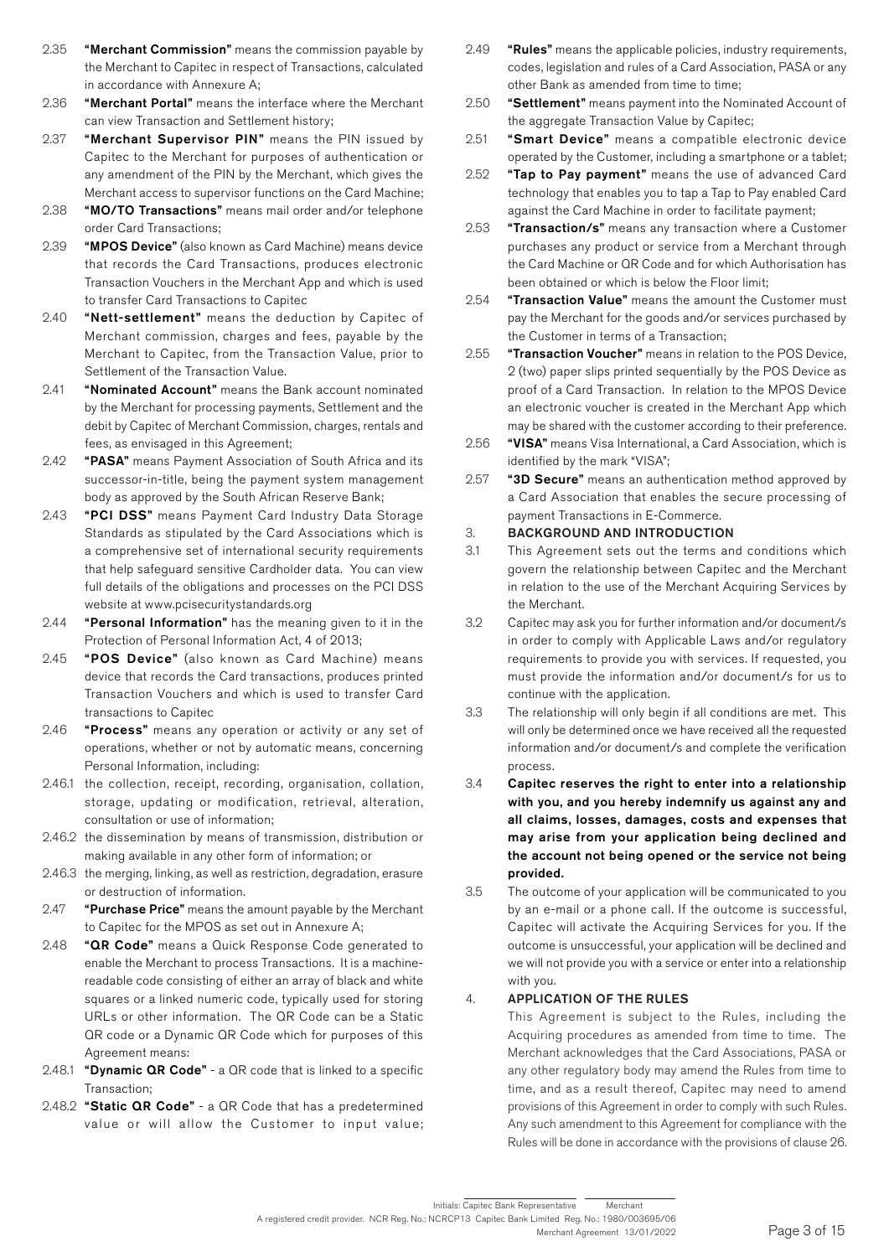- 2.35 **"Merchant Commission"** means the commission payable by the Merchant to Capitec in respect of Transactions, calculated in accordance with Annexure A;
- 2.36 "Merchant Portal" means the interface where the Merchant can view Transaction and Settlement history;
- 2.37 "Merchant Supervisor PIN" means the PIN issued by Capitec to the Merchant for purposes of authentication or any amendment of the PIN by the Merchant, which gives the Merchant access to supervisor functions on the Card Machine;
- 2.38 "MO/TO Transactions" means mail order and/or telephone order Card Transactions;
- 2.39 **"MPOS Device"** (also known as Card Machine) means device that records the Card Transactions, produces electronic Transaction Vouchers in the Merchant App and which is used to transfer Card Transactions to Capitec
- 2.40 "Nett-settlement" means the deduction by Capitec of Merchant commission, charges and fees, payable by the Merchant to Capitec, from the Transaction Value, prior to Settlement of the Transaction Value.
- 2.41 **"Nominated Account"** means the Bank account nominated by the Merchant for processing payments, Settlement and the debit by Capitec of Merchant Commission, charges, rentals and fees, as envisaged in this Agreement;
- 2.42 "PASA" means Payment Association of South Africa and its successor-in-title, being the payment system management body as approved by the South African Reserve Bank;
- 2.43 "PCI DSS" means Payment Card Industry Data Storage Standards as stipulated by the Card Associations which is a comprehensive set of international security requirements that help safeguard sensitive Cardholder data. You can view full details of the obligations and processes on the PCI DSS website at www.pcisecuritystandards.org
- 2.44 "Personal Information" has the meaning given to it in the Protection of Personal Information Act, 4 of 2013;
- 2.45 "POS Device" (also known as Card Machine) means device that records the Card transactions, produces printed Transaction Vouchers and which is used to transfer Card transactions to Capitec
- 2.46 **"Process"** means any operation or activity or any set of operations, whether or not by automatic means, concerning Personal Information, including:
- 2.46.1 the collection, receipt, recording, organisation, collation, storage, updating or modification, retrieval, alteration, consultation or use of information;
- 2.46.2 the dissemination by means of transmission, distribution or making available in any other form of information; or
- 2.46.3 the merging, linking, as well as restriction, degradation, erasure or destruction of information.
- 2.47 "Purchase Price" means the amount payable by the Merchant to Capitec for the MPOS as set out in Annexure A;
- 2.48 "**QR Code**" means a Quick Response Code generated to enable the Merchant to process Transactions. It is a machinereadable code consisting of either an array of black and white squares or a linked numeric code, typically used for storing URLs or other information. The QR Code can be a Static QR code or a Dynamic QR Code which for purposes of this Agreement means:
- 2.48.1 "Dynamic QR Code" a QR code that is linked to a specific Transaction;
- 2.48.2 "Static QR Code" a QR Code that has a predetermined value or will allow the Customer to input value;
- 2.49 **"Rules"** means the applicable policies, industry requirements, codes, legislation and rules of a Card Association, PASA or any other Bank as amended from time to time;
- 2.50 "Settlement" means payment into the Nominated Account of the aggregate Transaction Value by Capitec;
- 2.51 **"Smart Device"** means a compatible electronic device operated by the Customer, including a smartphone or a tablet;
- 2.52 **"Tap to Pay payment"** means the use of advanced Card technology that enables you to tap a Tap to Pay enabled Card against the Card Machine in order to facilitate payment;
- 2.53 **"Transaction/s"** means any transaction where a Customer purchases any product or service from a Merchant through the Card Machine or QR Code and for which Authorisation has been obtained or which is below the Floor limit;
- 2.54 **"Transaction Value"** means the amount the Customer must pay the Merchant for the goods and/or services purchased by the Customer in terms of a Transaction;
- 2.55 **"Transaction Voucher"** means in relation to the POS Device, 2 (two) paper slips printed sequentially by the POS Device as proof of a Card Transaction. In relation to the MPOS Device an electronic voucher is created in the Merchant App which may be shared with the customer according to their preference.
- 2.56 "VISA" means Visa International, a Card Association, which is identified by the mark "VISA";
- 2.57 "3D Secure" means an authentication method approved by a Card Association that enables the secure processing of payment Transactions in E-Commerce.

### 3. BACKGROUND AND INTRODUCTION

- 3.1 This Agreement sets out the terms and conditions which govern the relationship between Capitec and the Merchant in relation to the use of the Merchant Acquiring Services by the Merchant.
- 3.2 Capitec may ask you for further information and/or document/s in order to comply with Applicable Laws and/or regulatory requirements to provide you with services. If requested, you must provide the information and/or document/s for us to continue with the application.
- 3.3 The relationship will only begin if all conditions are met. This will only be determined once we have received all the requested information and/or document/s and complete the verification process.
- 3.4 Capitec reserves the right to enter into a relationship with you, and you hereby indemnify us against any and all claims, losses, damages, costs and expenses that may arise from your application being declined and the account not being opened or the service not being provided.
- 3.5 The outcome of your application will be communicated to you by an e-mail or a phone call. If the outcome is successful, Capitec will activate the Acquiring Services for you. If the outcome is unsuccessful, your application will be declined and we will not provide you with a service or enter into a relationship with you.

### 4. APPLICATION OF THE RULES

 This Agreement is subject to the Rules, including the Acquiring procedures as amended from time to time. The Merchant acknowledges that the Card Associations, PASA or any other regulatory body may amend the Rules from time to time, and as a result thereof, Capitec may need to amend provisions of this Agreement in order to comply with such Rules. Any such amendment to this Agreement for compliance with the Rules will be done in accordance with the provisions of clause 26.

A registered credit provider. NCR Reg. No.: NCRCP13 Capitec Bank Limited Reg. No.: 1980/003695/06 Merchant Agreement 13/01/2022 Initials: Capitec Bank Representative Merchant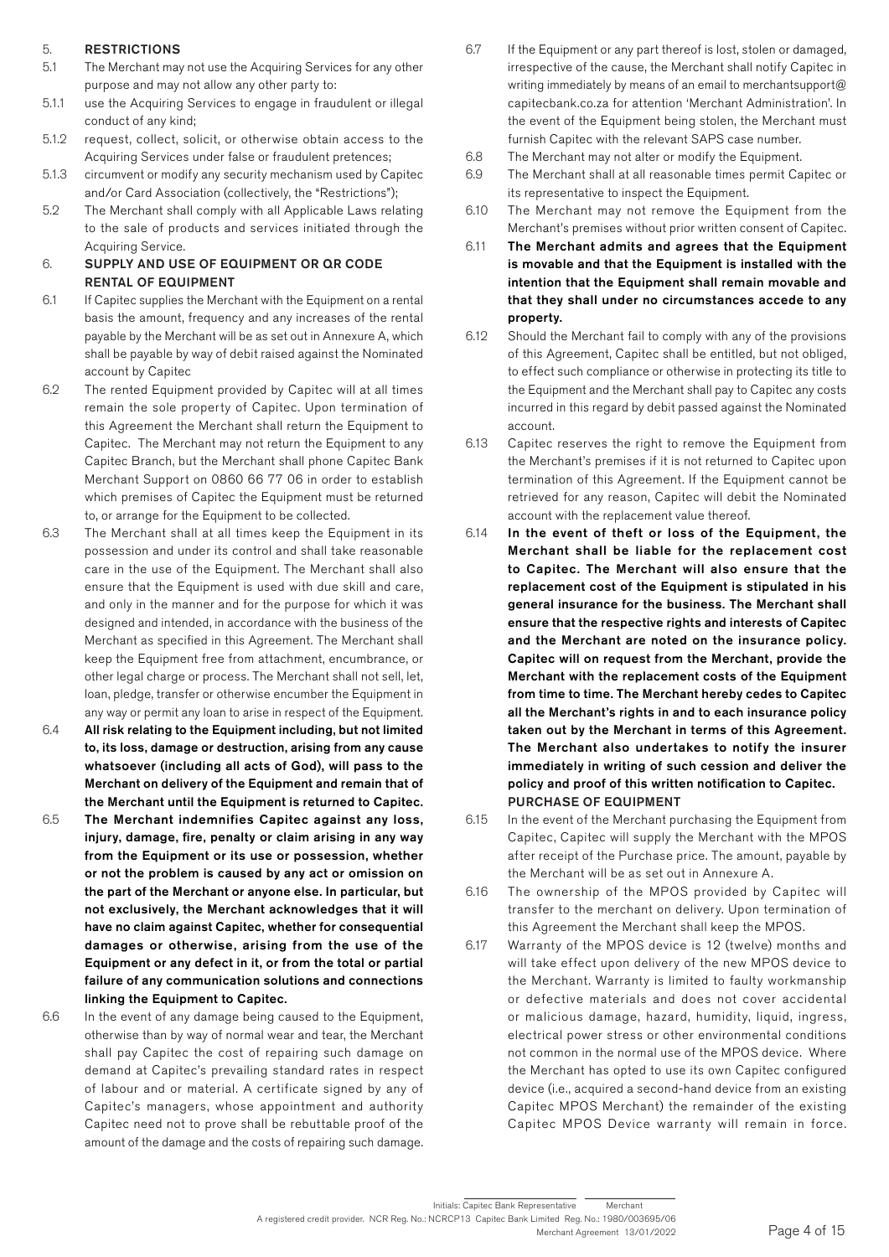### 5. RESTRICTIONS

- 5.1 The Merchant may not use the Acquiring Services for any other purpose and may not allow any other party to:
- 5.1.1 use the Acquiring Services to engage in fraudulent or illegal conduct of any kind;
- 5.1.2 request, collect, solicit, or otherwise obtain access to the Acquiring Services under false or fraudulent pretences;
- 5.1.3 circumvent or modify any security mechanism used by Capitec and/or Card Association (collectively, the "Restrictions");
- 5.2 The Merchant shall comply with all Applicable Laws relating to the sale of products and services initiated through the Acquiring Service.

### 6. SUPPLY AND USE OF EQUIPMENT OR QR CODE RENTAL OF EQUIPMENT

- 6.1 If Capitec supplies the Merchant with the Equipment on a rental basis the amount, frequency and any increases of the rental payable by the Merchant will be as set out in Annexure A, which shall be payable by way of debit raised against the Nominated account by Capitec
- 6.2 The rented Equipment provided by Capitec will at all times remain the sole property of Capitec. Upon termination of this Agreement the Merchant shall return the Equipment to Capitec. The Merchant may not return the Equipment to any Capitec Branch, but the Merchant shall phone Capitec Bank Merchant Support on 0860 66 77 06 in order to establish which premises of Capitec the Equipment must be returned to, or arrange for the Equipment to be collected.
- 6.3 The Merchant shall at all times keep the Equipment in its possession and under its control and shall take reasonable care in the use of the Equipment. The Merchant shall also ensure that the Equipment is used with due skill and care, and only in the manner and for the purpose for which it was designed and intended, in accordance with the business of the Merchant as specified in this Agreement. The Merchant shall keep the Equipment free from attachment, encumbrance, or other legal charge or process. The Merchant shall not sell, let, loan, pledge, transfer or otherwise encumber the Equipment in any way or permit any loan to arise in respect of the Equipment.
- 6.4 All risk relating to the Equipment including, but not limited to, its loss, damage or destruction, arising from any cause whatsoever (including all acts of God), will pass to the Merchant on delivery of the Equipment and remain that of the Merchant until the Equipment is returned to Capitec.
- 6.5 The Merchant indemnifies Capitec against any loss, injury, damage, fire, penalty or claim arising in any way from the Equipment or its use or possession, whether or not the problem is caused by any act or omission on the part of the Merchant or anyone else. In particular, but not exclusively, the Merchant acknowledges that it will have no claim against Capitec, whether for consequential damages or otherwise, arising from the use of the Equipment or any defect in it, or from the total or partial failure of any communication solutions and connections linking the Equipment to Capitec.
- 6.6 In the event of any damage being caused to the Equipment, otherwise than by way of normal wear and tear, the Merchant shall pay Capitec the cost of repairing such damage on demand at Capitec's prevailing standard rates in respect of labour and or material. A certificate signed by any of Capitec's managers, whose appointment and authority Capitec need not to prove shall be rebuttable proof of the amount of the damage and the costs of repairing such damage.
- 6.7 If the Equipment or any part thereof is lost, stolen or damaged, irrespective of the cause, the Merchant shall notify Capitec in writing immediately by means of an email to merchantsupport@ capitecbank.co.za for attention 'Merchant Administration'. In the event of the Equipment being stolen, the Merchant must furnish Capitec with the relevant SAPS case number.
- 6.8 The Merchant may not alter or modify the Equipment.
- 6.9 The Merchant shall at all reasonable times permit Capitec or its representative to inspect the Equipment.
- 6.10 The Merchant may not remove the Equipment from the Merchant's premises without prior written consent of Capitec.
- 6.11 The Merchant admits and agrees that the Equipment is movable and that the Equipment is installed with the intention that the Equipment shall remain movable and that they shall under no circumstances accede to any property.
- 6.12 Should the Merchant fail to comply with any of the provisions of this Agreement, Capitec shall be entitled, but not obliged, to effect such compliance or otherwise in protecting its title to the Equipment and the Merchant shall pay to Capitec any costs incurred in this regard by debit passed against the Nominated account.
- 6.13 Capitec reserves the right to remove the Equipment from the Merchant's premises if it is not returned to Capitec upon termination of this Agreement. If the Equipment cannot be retrieved for any reason, Capitec will debit the Nominated account with the replacement value thereof.
- 6.14 In the event of theft or loss of the Equipment, the Merchant shall be liable for the replacement cost to Capitec. The Merchant will also ensure that the replacement cost of the Equipment is stipulated in his general insurance for the business. The Merchant shall ensure that the respective rights and interests of Capitec and the Merchant are noted on the insurance policy. Capitec will on request from the Merchant, provide the Merchant with the replacement costs of the Equipment from time to time. The Merchant hereby cedes to Capitec all the Merchant's rights in and to each insurance policy taken out by the Merchant in terms of this Agreement. The Merchant also undertakes to notify the insurer immediately in writing of such cession and deliver the policy and proof of this written notification to Capitec. PURCHASE OF EQUIPMENT
- 6.15 In the event of the Merchant purchasing the Equipment from Capitec, Capitec will supply the Merchant with the MPOS after receipt of the Purchase price. The amount, payable by the Merchant will be as set out in Annexure A.
- 6.16 The ownership of the MPOS provided by Capitec will transfer to the merchant on delivery. Upon termination of this Agreement the Merchant shall keep the MPOS.
- 6.17 Warranty of the MPOS device is 12 (twelve) months and will take effect upon delivery of the new MPOS device to the Merchant. Warranty is limited to faulty workmanship or defective materials and does not cover accidental or malicious damage, hazard, humidity, liquid, ingress, electrical power stress or other environmental conditions not common in the normal use of the MPOS device. Where the Merchant has opted to use its own Capitec configured device (i.e., acquired a second-hand device from an existing Capitec MPOS Merchant) the remainder of the existing Capitec MPOS Device warranty will remain in force.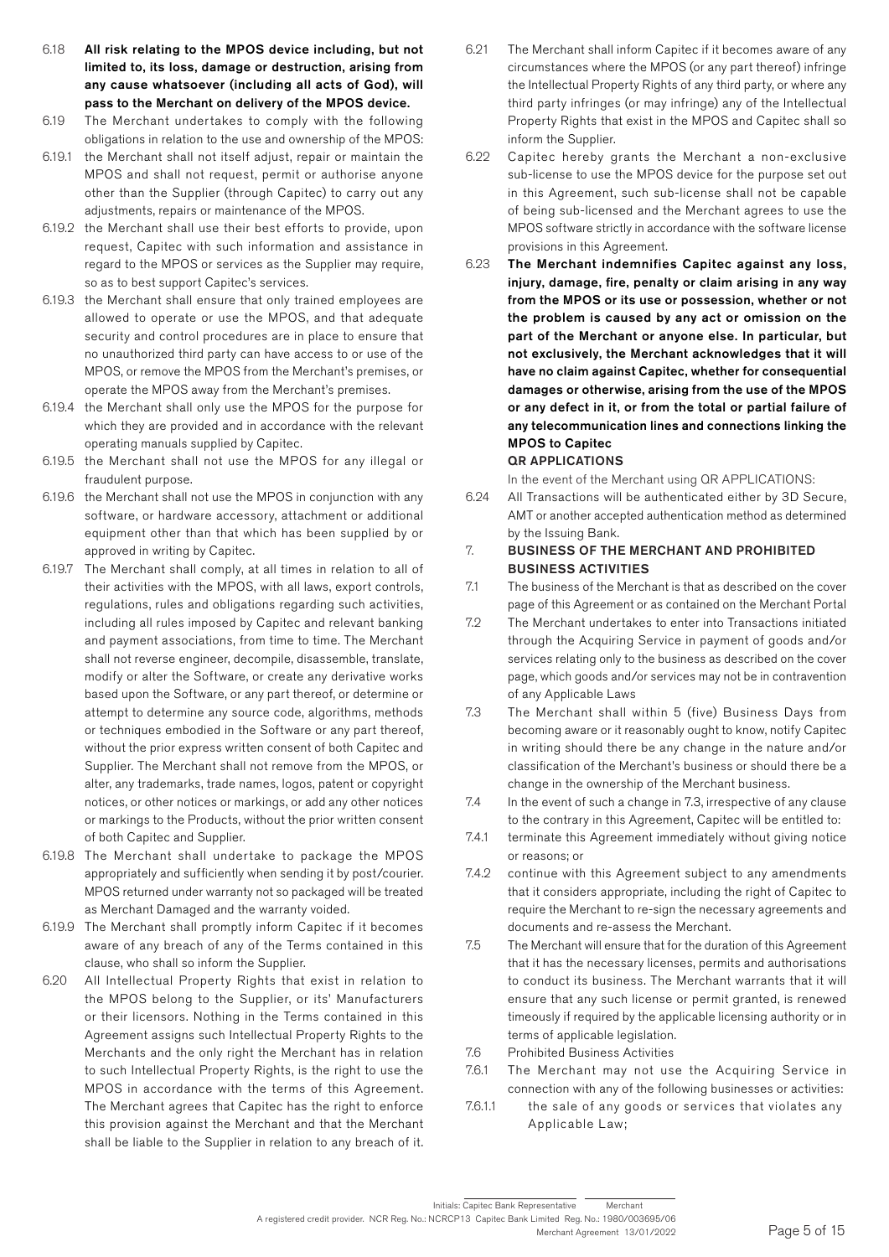- 6.18 All risk relating to the MPOS device including, but not limited to, its loss, damage or destruction, arising from any cause whatsoever (including all acts of God), will pass to the Merchant on delivery of the MPOS device.
- 6.19 The Merchant undertakes to comply with the following obligations in relation to the use and ownership of the MPOS:
- 6.19.1 the Merchant shall not itself adjust, repair or maintain the MPOS and shall not request, permit or authorise anyone other than the Supplier (through Capitec) to carry out any adjustments, repairs or maintenance of the MPOS.
- 6.19.2 the Merchant shall use their best efforts to provide, upon request, Capitec with such information and assistance in regard to the MPOS or services as the Supplier may require, so as to best support Capitec's services.
- 6.19.3 the Merchant shall ensure that only trained employees are allowed to operate or use the MPOS, and that adequate security and control procedures are in place to ensure that no unauthorized third party can have access to or use of the MPOS, or remove the MPOS from the Merchant's premises, or operate the MPOS away from the Merchant's premises.
- 6.19.4 the Merchant shall only use the MPOS for the purpose for which they are provided and in accordance with the relevant operating manuals supplied by Capitec.
- 6.19.5 the Merchant shall not use the MPOS for any illegal or fraudulent purpose.
- 6.19.6 the Merchant shall not use the MPOS in conjunction with any software, or hardware accessory, attachment or additional equipment other than that which has been supplied by or approved in writing by Capitec.
- 6.19.7 The Merchant shall comply, at all times in relation to all of their activities with the MPOS, with all laws, export controls, regulations, rules and obligations regarding such activities, including all rules imposed by Capitec and relevant banking and payment associations, from time to time. The Merchant shall not reverse engineer, decompile, disassemble, translate, modify or alter the Software, or create any derivative works based upon the Software, or any part thereof, or determine or attempt to determine any source code, algorithms, methods or techniques embodied in the Software or any part thereof, without the prior express written consent of both Capitec and Supplier. The Merchant shall not remove from the MPOS, or alter, any trademarks, trade names, logos, patent or copyright notices, or other notices or markings, or add any other notices or markings to the Products, without the prior written consent of both Capitec and Supplier.
- 6.19.8 The Merchant shall undertake to package the MPOS appropriately and sufficiently when sending it by post/courier. MPOS returned under warranty not so packaged will be treated as Merchant Damaged and the warranty voided.
- 6.19.9 The Merchant shall promptly inform Capitec if it becomes aware of any breach of any of the Terms contained in this clause, who shall so inform the Supplier.
- 6.20 All Intellectual Property Rights that exist in relation to the MPOS belong to the Supplier, or its' Manufacturers or their licensors. Nothing in the Terms contained in this Agreement assigns such Intellectual Property Rights to the Merchants and the only right the Merchant has in relation to such Intellectual Property Rights, is the right to use the MPOS in accordance with the terms of this Agreement. The Merchant agrees that Capitec has the right to enforce this provision against the Merchant and that the Merchant shall be liable to the Supplier in relation to any breach of it.
- 6.21 The Merchant shall inform Capitec if it becomes aware of any circumstances where the MPOS (or any part thereof) infringe the Intellectual Property Rights of any third party, or where any third party infringes (or may infringe) any of the Intellectual Property Rights that exist in the MPOS and Capitec shall so inform the Supplier.
- 6.22 Capitec hereby grants the Merchant a non-exclusive sub-license to use the MPOS device for the purpose set out in this Agreement, such sub-license shall not be capable of being sub-licensed and the Merchant agrees to use the MPOS software strictly in accordance with the software license provisions in this Agreement.
- 6.23 The Merchant indemnifies Capitec against any loss, injury, damage, fire, penalty or claim arising in any way from the MPOS or its use or possession, whether or not the problem is caused by any act or omission on the part of the Merchant or anyone else. In particular, but not exclusively, the Merchant acknowledges that it will have no claim against Capitec, whether for consequential damages or otherwise, arising from the use of the MPOS or any defect in it, or from the total or partial failure of any telecommunication lines and connections linking the MPOS to Capitec

### QR APPLICATIONS

In the event of the Merchant using QR APPLICATIONS:

- 6.24 All Transactions will be authenticated either by 3D Secure, AMT or another accepted authentication method as determined by the Issuing Bank.
- 7. BUSINESS OF THE MERCHANT AND PROHIBITED BUSINESS ACTIVITIES
- 7.1 The business of the Merchant is that as described on the cover page of this Agreement or as contained on the Merchant Portal
- 7.2 The Merchant undertakes to enter into Transactions initiated through the Acquiring Service in payment of goods and/or services relating only to the business as described on the cover page, which goods and/or services may not be in contravention of any Applicable Laws
- 7.3 The Merchant shall within 5 (five) Business Days from becoming aware or it reasonably ought to know, notify Capitec in writing should there be any change in the nature and/or classification of the Merchant's business or should there be a change in the ownership of the Merchant business.
- 7.4 In the event of such a change in 7.3, irrespective of any clause to the contrary in this Agreement, Capitec will be entitled to:
- 7.4.1 terminate this Agreement immediately without giving notice or reasons; or
- 7.4.2 continue with this Agreement subject to any amendments that it considers appropriate, including the right of Capitec to require the Merchant to re-sign the necessary agreements and documents and re-assess the Merchant.
- 7.5 The Merchant will ensure that for the duration of this Agreement that it has the necessary licenses, permits and authorisations to conduct its business. The Merchant warrants that it will ensure that any such license or permit granted, is renewed timeously if required by the applicable licensing authority or in terms of applicable legislation.
- 7.6 Prohibited Business Activities
- 7.6.1 The Merchant may not use the Acquiring Service in connection with any of the following businesses or activities:
- 7.6.1.1 the sale of any goods or services that violates any Applicable Law;

A registered credit provider. NCR Reg. No.: NCRCP13 Capitec Bank Limited Reg. No.: 1980/003695/06 Merchant Agreement 13/01/2022 Initials: Capitec Bank Representative Merchant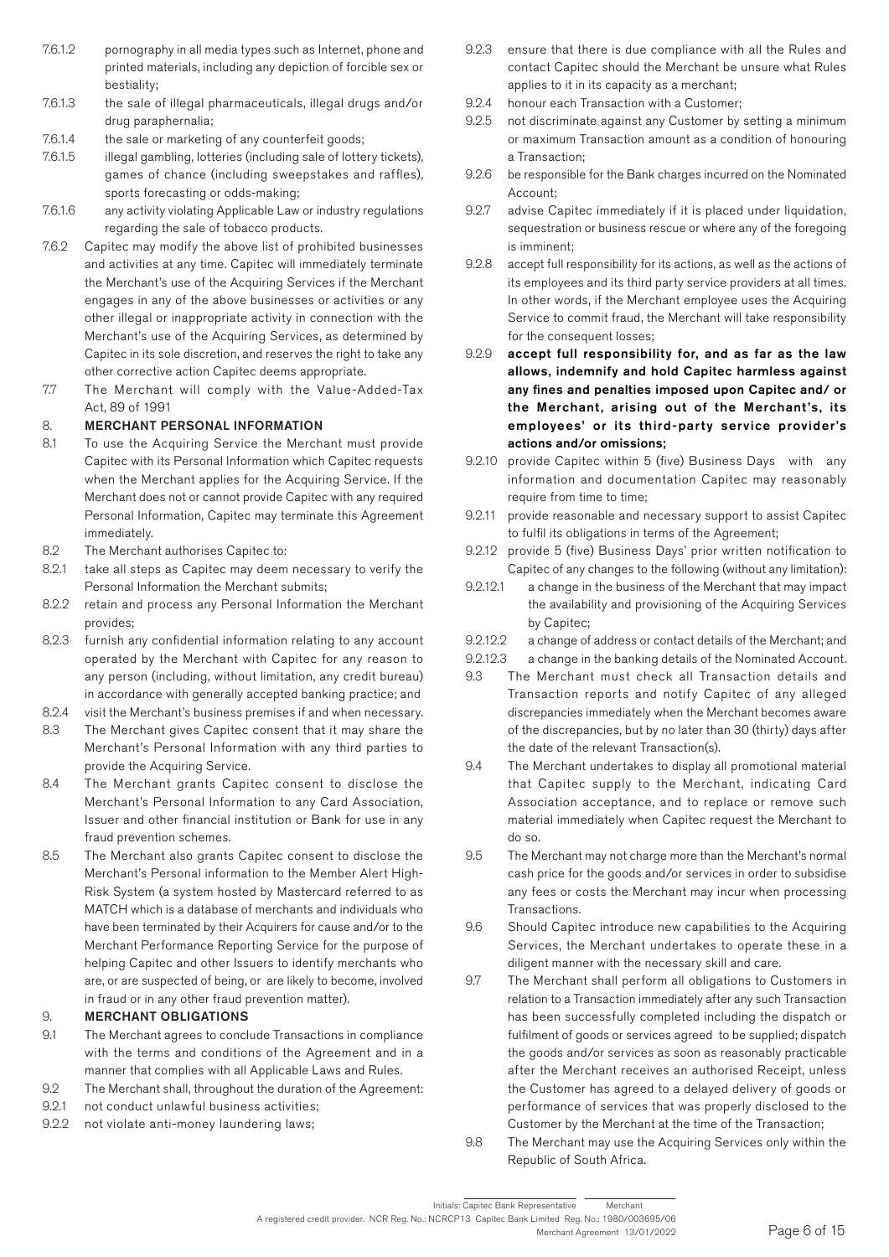- 7.6.1.2 pornography in all media types such as Internet, phone and printed materials, including any depiction of forcible sex or bestiality;
- 7.6.1.3 the sale of illegal pharmaceuticals, illegal drugs and/or drug paraphernalia;
- 7.6.1.4 the sale or marketing of any counterfeit goods;
- 7.6.1.5 illegal gambling, lotteries (including sale of lottery tickets), games of chance (including sweepstakes and raffles), sports forecasting or odds-making;
- 7.6.1.6 any activity violating Applicable Law or industry regulations regarding the sale of tobacco products.
- 7.6.2 Capitec may modify the above list of prohibited businesses and activities at any time. Capitec will immediately terminate the Merchant's use of the Acquiring Services if the Merchant engages in any of the above businesses or activities or any other illegal or inappropriate activity in connection with the Merchant's use of the Acquiring Services, as determined by Capitec in its sole discretion, and reserves the right to take any other corrective action Capitec deems appropriate.
- 7.7 The Merchant will comply with the Value-Added-Tax Act, 89 of 1991

# 8. MERCHANT PERSONAL INFORMATION

- 8.1 To use the Acquiring Service the Merchant must provide Capitec with its Personal Information which Capitec requests when the Merchant applies for the Acquiring Service. If the Merchant does not or cannot provide Capitec with any required Personal Information, Capitec may terminate this Agreement immediately.
- 8.2 The Merchant authorises Capitec to:
- 8.2.1 take all steps as Capitec may deem necessary to verify the Personal Information the Merchant submits;
- 8.2.2 retain and process any Personal Information the Merchant provides;
- 8.2.3 furnish any confidential information relating to any account operated by the Merchant with Capitec for any reason to any person (including, without limitation, any credit bureau) in accordance with generally accepted banking practice; and
- 8.2.4 visit the Merchant's business premises if and when necessary.
- 8.3 The Merchant gives Capitec consent that it may share the Merchant's Personal Information with any third parties to provide the Acquiring Service.
- 8.4 The Merchant grants Capitec consent to disclose the Merchant's Personal Information to any Card Association, Issuer and other financial institution or Bank for use in any fraud prevention schemes.
- 8.5 The Merchant also grants Capitec consent to disclose the Merchant's Personal information to the Member Alert High-Risk System (a system hosted by Mastercard referred to as MATCH which is a database of merchants and individuals who have been terminated by their Acquirers for cause and/or to the Merchant Performance Reporting Service for the purpose of helping Capitec and other Issuers to identify merchants who are, or are suspected of being, or are likely to become, involved in fraud or in any other fraud prevention matter).

### 9. MERCHANT OBLIGATIONS

- 9.1 The Merchant agrees to conclude Transactions in compliance with the terms and conditions of the Agreement and in a manner that complies with all Applicable Laws and Rules.
- 9.2 The Merchant shall, throughout the duration of the Agreement:
- 9.2.1 not conduct unlawful business activities:
- 9.2.2 not violate anti-money laundering laws;
- 9.2.3 ensure that there is due compliance with all the Rules and contact Capitec should the Merchant be unsure what Rules applies to it in its capacity as a merchant;
- 9.2.4 honour each Transaction with a Customer;
- 9.2.5 not discriminate against any Customer by setting a minimum or maximum Transaction amount as a condition of honouring a Transaction;
- 9.2.6 be responsible for the Bank charges incurred on the Nominated Account;
- 9.2.7 advise Capitec immediately if it is placed under liquidation, sequestration or business rescue or where any of the foregoing is imminent;
- 9.2.8 accept full responsibility for its actions, as well as the actions of its employees and its third party service providers at all times. In other words, if the Merchant employee uses the Acquiring Service to commit fraud, the Merchant will take responsibility for the consequent losses;
- 9.2.9 accept full responsibility for, and as far as the law allows, indemnify and hold Capitec harmless against any fines and penalties imposed upon Capitec and/ or the Merchant, arising out of the Merchant's, its employees' or its third-party service provider's actions and/or omissions;
- 9.2.10 provide Capitec within 5 (five) Business Days with any information and documentation Capitec may reasonably require from time to time;
- 9.2.11 provide reasonable and necessary support to assist Capitec to fulfil its obligations in terms of the Agreement;
- 9.2.12 provide 5 (five) Business Days' prior written notification to Capitec of any changes to the following (without any limitation):
- 9.2.12.1 a change in the business of the Merchant that may impact the availability and provisioning of the Acquiring Services by Capitec;
- 9.2.12.2 a change of address or contact details of the Merchant; and
- 9.2.12.3 a change in the banking details of the Nominated Account.
- 9.3 The Merchant must check all Transaction details and Transaction reports and notify Capitec of any alleged discrepancies immediately when the Merchant becomes aware of the discrepancies, but by no later than 30 (thirty) days after the date of the relevant Transaction(s).
- 9.4 The Merchant undertakes to display all promotional material that Capitec supply to the Merchant, indicating Card Association acceptance, and to replace or remove such material immediately when Capitec request the Merchant to do so.
- 9.5 The Merchant may not charge more than the Merchant's normal cash price for the goods and/or services in order to subsidise any fees or costs the Merchant may incur when processing Transactions.
- 9.6 Should Capitec introduce new capabilities to the Acquiring Services, the Merchant undertakes to operate these in a diligent manner with the necessary skill and care.
- 9.7 The Merchant shall perform all obligations to Customers in relation to a Transaction immediately after any such Transaction has been successfully completed including the dispatch or fulfilment of goods or services agreed to be supplied; dispatch the goods and/or services as soon as reasonably practicable after the Merchant receives an authorised Receipt, unless the Customer has agreed to a delayed delivery of goods or performance of services that was properly disclosed to the Customer by the Merchant at the time of the Transaction;
- 9.8 The Merchant may use the Acquiring Services only within the Republic of South Africa.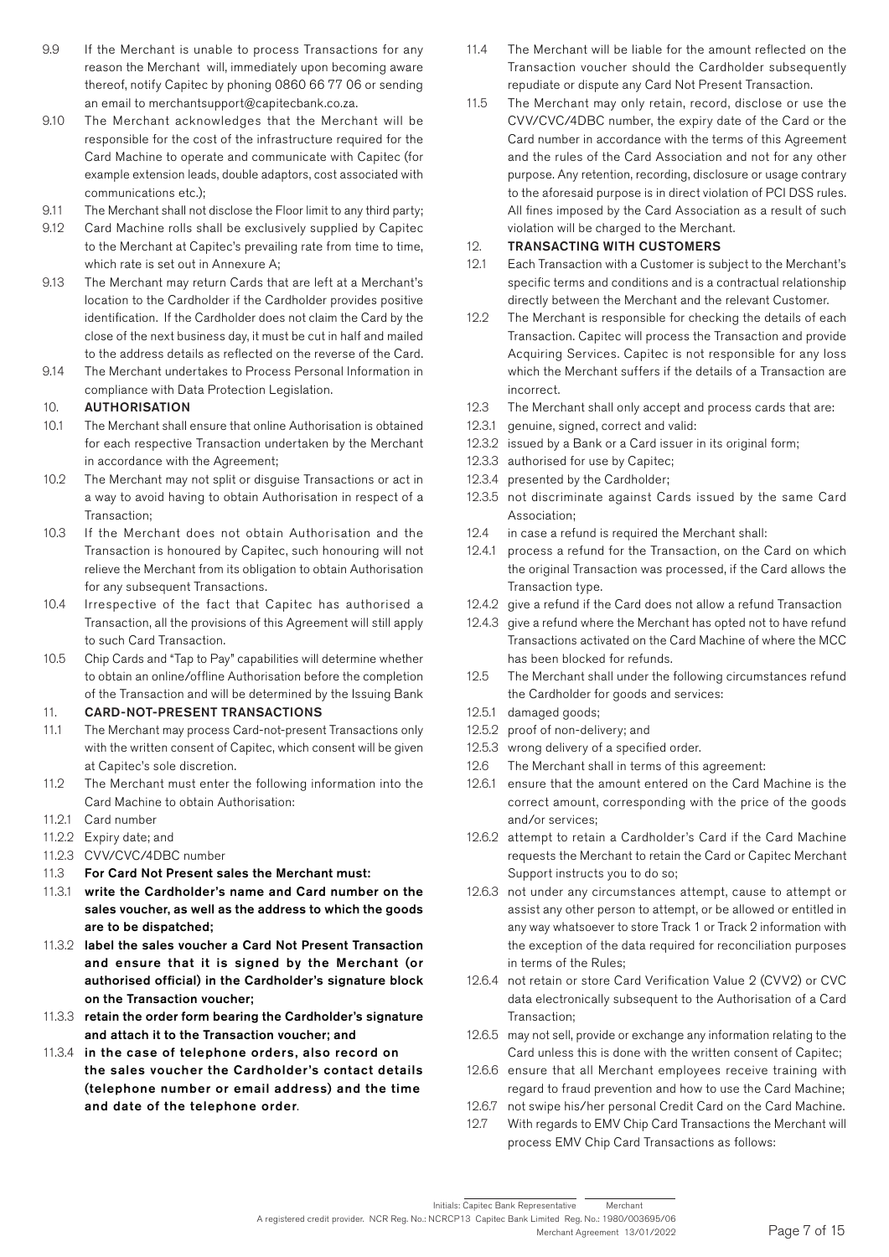- 9.9 If the Merchant is unable to process Transactions for any reason the Merchant will, immediately upon becoming aware thereof, notify Capitec by phoning 0860 66 77 06 or sending an email to merchantsupport@capitecbank.co.za.
- 9.10 The Merchant acknowledges that the Merchant will be responsible for the cost of the infrastructure required for the Card Machine to operate and communicate with Capitec (for example extension leads, double adaptors, cost associated with communications etc.);
- 9.11 The Merchant shall not disclose the Floor limit to any third party;
- 9.12 Card Machine rolls shall be exclusively supplied by Capitec to the Merchant at Capitec's prevailing rate from time to time, which rate is set out in Annexure A;
- 9.13 The Merchant may return Cards that are left at a Merchant's location to the Cardholder if the Cardholder provides positive identification. If the Cardholder does not claim the Card by the close of the next business day, it must be cut in half and mailed to the address details as reflected on the reverse of the Card.
- 9.14 The Merchant undertakes to Process Personal Information in compliance with Data Protection Legislation.

### 10. AUTHORISATION

- 10.1 The Merchant shall ensure that online Authorisation is obtained for each respective Transaction undertaken by the Merchant in accordance with the Agreement;
- 10.2 The Merchant may not split or disguise Transactions or act in a way to avoid having to obtain Authorisation in respect of a Transaction;
- 10.3 If the Merchant does not obtain Authorisation and the Transaction is honoured by Capitec, such honouring will not relieve the Merchant from its obligation to obtain Authorisation for any subsequent Transactions.
- 10.4 Irrespective of the fact that Capitec has authorised a Transaction, all the provisions of this Agreement will still apply to such Card Transaction.
- 10.5 Chip Cards and "Tap to Pay" capabilities will determine whether to obtain an online/offline Authorisation before the completion of the Transaction and will be determined by the Issuing Bank

### 11. CARD-NOT-PRESENT TRANSACTIONS

- 11.1 The Merchant may process Card-not-present Transactions only with the written consent of Capitec, which consent will be given at Capitec's sole discretion.
- 11.2 The Merchant must enter the following information into the Card Machine to obtain Authorisation:
- 11.2.1 Card number
- 11.2.2 Expiry date; and
- 11.2.3 CVV/CVC/4DBC number
- 11.3 For Card Not Present sales the Merchant must:
- 11.3.1 write the Cardholder's name and Card number on the sales voucher, as well as the address to which the goods are to be dispatched;
- 11.3.2 label the sales voucher a Card Not Present Transaction and ensure that it is signed by the Merchant (or authorised official) in the Cardholder's signature block on the Transaction voucher;
- 11.3.3 retain the order form bearing the Cardholder's signature and attach it to the Transaction voucher; and
- 11.3.4 in the case of telephone orders, also record on the sales voucher the Cardholder's contact details (telephone number or email address) and the time and date of the telephone order.
- 11.4 The Merchant will be liable for the amount reflected on the Transaction voucher should the Cardholder subsequently repudiate or dispute any Card Not Present Transaction.
- 11.5 The Merchant may only retain, record, disclose or use the CVV/CVC/4DBC number, the expiry date of the Card or the Card number in accordance with the terms of this Agreement and the rules of the Card Association and not for any other purpose. Any retention, recording, disclosure or usage contrary to the aforesaid purpose is in direct violation of PCI DSS rules. All fines imposed by the Card Association as a result of such violation will be charged to the Merchant.

### 12. TRANSACTING WITH CUSTOMERS

- 12.1 Each Transaction with a Customer is subject to the Merchant's specific terms and conditions and is a contractual relationship directly between the Merchant and the relevant Customer.
- 12.2 The Merchant is responsible for checking the details of each Transaction. Capitec will process the Transaction and provide Acquiring Services. Capitec is not responsible for any loss which the Merchant suffers if the details of a Transaction are incorrect.
- 12.3 The Merchant shall only accept and process cards that are:
- 12.3.1 genuine, signed, correct and valid:
- 12.3.2 issued by a Bank or a Card issuer in its original form;
- 12.3.3 authorised for use by Capitec;
- 12.3.4 presented by the Cardholder;
- 12.3.5 not discriminate against Cards issued by the same Card Association;
- 12.4 in case a refund is required the Merchant shall:
- 12.4.1 process a refund for the Transaction, on the Card on which the original Transaction was processed, if the Card allows the Transaction type.
- 12.4.2 give a refund if the Card does not allow a refund Transaction
- 12.4.3 give a refund where the Merchant has opted not to have refund Transactions activated on the Card Machine of where the MCC has been blocked for refunds.
- 12.5 The Merchant shall under the following circumstances refund the Cardholder for goods and services:
- 12.5.1 damaged goods;
- 12.5.2 proof of non-delivery; and
- 12.5.3 wrong delivery of a specified order.
- 12.6 The Merchant shall in terms of this agreement:
- 12.6.1 ensure that the amount entered on the Card Machine is the correct amount, corresponding with the price of the goods and/or services;
- 12.6.2 attempt to retain a Cardholder's Card if the Card Machine requests the Merchant to retain the Card or Capitec Merchant Support instructs you to do so;
- 12.6.3 not under any circumstances attempt, cause to attempt or assist any other person to attempt, or be allowed or entitled in any way whatsoever to store Track 1 or Track 2 information with the exception of the data required for reconciliation purposes in terms of the Rules;
- 12.6.4 not retain or store Card Verification Value 2 (CVV2) or CVC data electronically subsequent to the Authorisation of a Card Transaction;
- 12.6.5 may not sell, provide or exchange any information relating to the Card unless this is done with the written consent of Capitec;
- 12.6.6 ensure that all Merchant employees receive training with regard to fraud prevention and how to use the Card Machine;
- 12.6.7 not swipe his/her personal Credit Card on the Card Machine.
- 12.7 With regards to EMV Chip Card Transactions the Merchant will process EMV Chip Card Transactions as follows:

A registered credit provider. NCR Reg. No.: NCRCP13 Capitec Bank Limited Reg. No.: 1980/003695/06 Merchant Agreement 13/01/2022 Initials: Capitec Bank Representative Merchant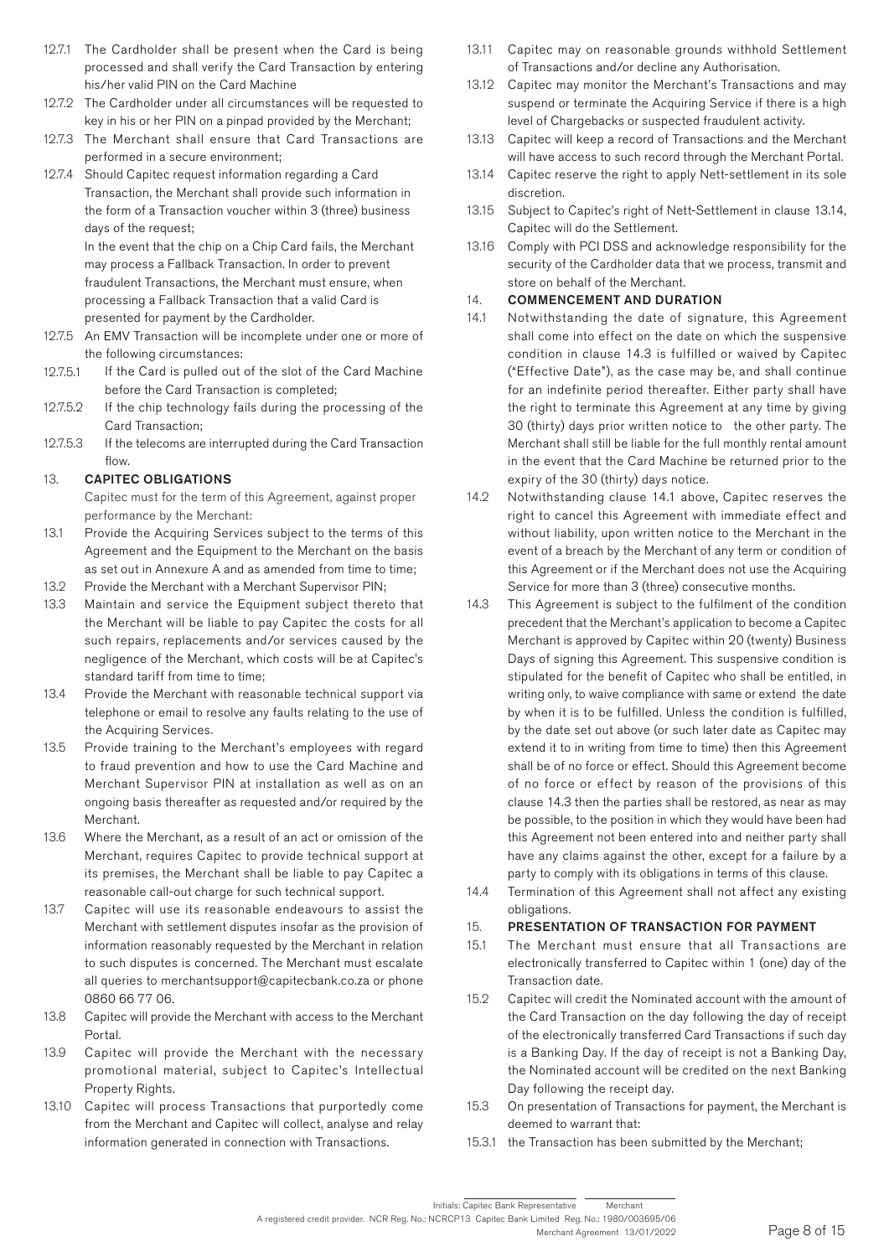- 12.7.1 The Cardholder shall be present when the Card is being processed and shall verify the Card Transaction by entering his/her valid PIN on the Card Machine
- 12.7.2 The Cardholder under all circumstances will be requested to key in his or her PIN on a pinpad provided by the Merchant;
- 12.7.3 The Merchant shall ensure that Card Transactions are performed in a secure environment;
- 12.7.4 Should Capitec request information regarding a Card Transaction, the Merchant shall provide such information in the form of a Transaction voucher within 3 (three) business days of the request;

In the event that the chip on a Chip Card fails, the Merchant may process a Fallback Transaction. In order to prevent fraudulent Transactions, the Merchant must ensure, when processing a Fallback Transaction that a valid Card is presented for payment by the Cardholder.

- 12.7.5 An EMV Transaction will be incomplete under one or more of the following circumstances:
- 12.7.5.1 If the Card is pulled out of the slot of the Card Machine before the Card Transaction is completed;
- 12.7.5.2 If the chip technology fails during the processing of the Card Transaction;
- 12.7.5.3 If the telecoms are interrupted during the Card Transaction flow.

### 13. CAPITEC OBLIGATIONS

Capitec must for the term of this Agreement, against proper performance by the Merchant:

- 13.1 Provide the Acquiring Services subject to the terms of this Agreement and the Equipment to the Merchant on the basis as set out in Annexure A and as amended from time to time;
- 13.2 Provide the Merchant with a Merchant Supervisor PIN;
- 13.3 Maintain and service the Equipment subject thereto that the Merchant will be liable to pay Capitec the costs for all such repairs, replacements and/or services caused by the negligence of the Merchant, which costs will be at Capitec's standard tariff from time to time;
- 13.4 Provide the Merchant with reasonable technical support via telephone or email to resolve any faults relating to the use of the Acquiring Services.
- 13.5 Provide training to the Merchant's employees with regard to fraud prevention and how to use the Card Machine and Merchant Supervisor PIN at installation as well as on an ongoing basis thereafter as requested and/or required by the Merchant.
- 13.6 Where the Merchant, as a result of an act or omission of the Merchant, requires Capitec to provide technical support at its premises, the Merchant shall be liable to pay Capitec a reasonable call-out charge for such technical support.
- 13.7 Capitec will use its reasonable endeavours to assist the Merchant with settlement disputes insofar as the provision of information reasonably requested by the Merchant in relation to such disputes is concerned. The Merchant must escalate all queries to merchantsupport@capitecbank.co.za or phone 0860 66 77 06.
- 13.8 Capitec will provide the Merchant with access to the Merchant Portal.
- 13.9 Capitec will provide the Merchant with the necessary promotional material, subject to Capitec's Intellectual Property Rights.
- 13.10 Capitec will process Transactions that purportedly come from the Merchant and Capitec will collect, analyse and relay information generated in connection with Transactions.
- 13.11 Capitec may on reasonable grounds withhold Settlement of Transactions and/or decline any Authorisation.
- 13.12 Capitec may monitor the Merchant's Transactions and may suspend or terminate the Acquiring Service if there is a high level of Chargebacks or suspected fraudulent activity.
- 13.13 Capitec will keep a record of Transactions and the Merchant will have access to such record through the Merchant Portal.
- 13.14 Capitec reserve the right to apply Nett-settlement in its sole discretion.
- 13.15 Subject to Capitec's right of Nett-Settlement in clause 13.14, Capitec will do the Settlement.
- 13.16 Comply with PCI DSS and acknowledge responsibility for the security of the Cardholder data that we process, transmit and store on behalf of the Merchant.

# 14. COMMENCEMENT AND DURATION

- 14.1 Notwithstanding the date of signature, this Agreement shall come into effect on the date on which the suspensive condition in clause 14.3 is fulfilled or waived by Capitec ("Effective Date"), as the case may be, and shall continue for an indefinite period thereafter. Either party shall have the right to terminate this Agreement at any time by giving 30 (thirty) days prior written notice to the other party. The Merchant shall still be liable for the full monthly rental amount in the event that the Card Machine be returned prior to the expiry of the 30 (thirty) days notice.
- 14.2 Notwithstanding clause 14.1 above, Capitec reserves the right to cancel this Agreement with immediate effect and without liability, upon written notice to the Merchant in the event of a breach by the Merchant of any term or condition of this Agreement or if the Merchant does not use the Acquiring Service for more than 3 (three) consecutive months.
- 14.3 This Agreement is subject to the fulfilment of the condition precedent that the Merchant's application to become a Capitec Merchant is approved by Capitec within 20 (twenty) Business Days of signing this Agreement. This suspensive condition is stipulated for the benefit of Capitec who shall be entitled, in writing only, to waive compliance with same or extend the date by when it is to be fulfilled. Unless the condition is fulfilled, by the date set out above (or such later date as Capitec may extend it to in writing from time to time) then this Agreement shall be of no force or effect. Should this Agreement become of no force or effect by reason of the provisions of this clause 14.3 then the parties shall be restored, as near as may be possible, to the position in which they would have been had this Agreement not been entered into and neither party shall have any claims against the other, except for a failure by a party to comply with its obligations in terms of this clause.
- 14.4 Termination of this Agreement shall not affect any existing obligations.

# 15. PRESENTATION OF TRANSACTION FOR PAYMENT

- 15.1 The Merchant must ensure that all Transactions are electronically transferred to Capitec within 1 (one) day of the Transaction date.
- 15.2 Capitec will credit the Nominated account with the amount of the Card Transaction on the day following the day of receipt of the electronically transferred Card Transactions if such day is a Banking Day. If the day of receipt is not a Banking Day, the Nominated account will be credited on the next Banking Day following the receipt day.
- 15.3 On presentation of Transactions for payment, the Merchant is deemed to warrant that:
- 15.3.1 the Transaction has been submitted by the Merchant;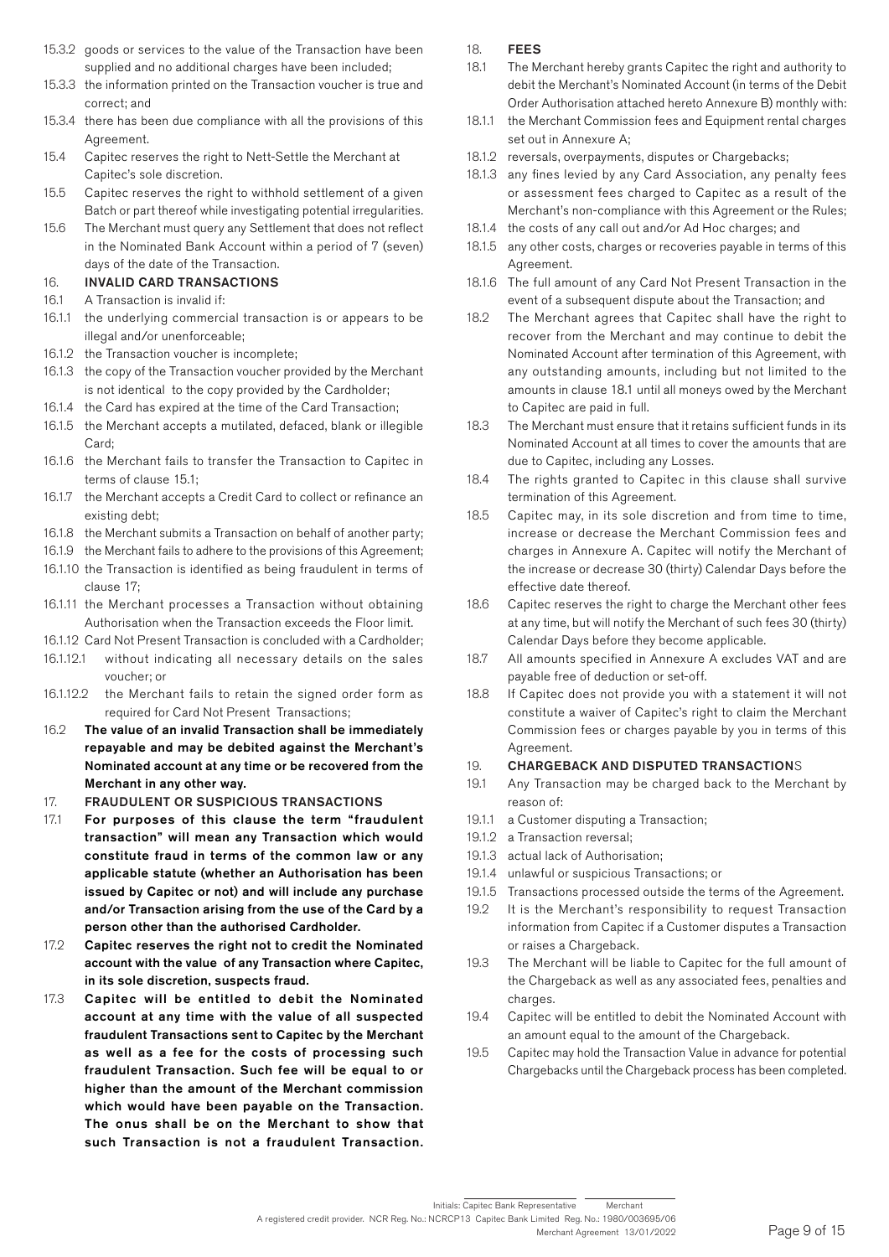- 15.3.2 goods or services to the value of the Transaction have been supplied and no additional charges have been included;
- 15.3.3 the information printed on the Transaction voucher is true and correct; and
- 15.3.4 there has been due compliance with all the provisions of this Agreement.
- 15.4 Capitec reserves the right to Nett-Settle the Merchant at Capitec's sole discretion.
- 15.5 Capitec reserves the right to withhold settlement of a given Batch or part thereof while investigating potential irregularities.
- 15.6 The Merchant must query any Settlement that does not reflect in the Nominated Bank Account within a period of 7 (seven) days of the date of the Transaction.

### 16. INVALID CARD TRANSACTIONS

- 16.1 A Transaction is invalid if:
- 16.1.1 the underlying commercial transaction is or appears to be illegal and/or unenforceable;
- 16.1.2 the Transaction voucher is incomplete;
- 16.1.3 the copy of the Transaction voucher provided by the Merchant is not identical to the copy provided by the Cardholder;
- 16.1.4 the Card has expired at the time of the Card Transaction;
- 16.1.5 the Merchant accepts a mutilated, defaced, blank or illegible Card;
- 16.1.6 the Merchant fails to transfer the Transaction to Capitec in terms of clause 15.1;
- 16.1.7 the Merchant accepts a Credit Card to collect or refinance an existing debt;
- 16.1.8 the Merchant submits a Transaction on behalf of another party;
- 16.1.9 the Merchant fails to adhere to the provisions of this Agreement;
- 16.1.10 the Transaction is identified as being fraudulent in terms of clause 17;
- 16.1.11 the Merchant processes a Transaction without obtaining Authorisation when the Transaction exceeds the Floor limit.
- 16.1.12 Card Not Present Transaction is concluded with a Cardholder;
- 16.1.12.1 without indicating all necessary details on the sales voucher; or
- 16.1.12.2 the Merchant fails to retain the signed order form as required for Card Not Present Transactions;
- 16.2 The value of an invalid Transaction shall be immediately repayable and may be debited against the Merchant's Nominated account at any time or be recovered from the Merchant in any other way.
- 17. FRAUDULENT OR SUSPICIOUS TRANSACTIONS
- 17.1 For purposes of this clause the term "fraudulent transaction" will mean any Transaction which would constitute fraud in terms of the common law or any applicable statute (whether an Authorisation has been issued by Capitec or not) and will include any purchase and/or Transaction arising from the use of the Card by a person other than the authorised Cardholder.
- 17.2 Capitec reserves the right not to credit the Nominated account with the value of any Transaction where Capitec, in its sole discretion, suspects fraud.
- 17.3 Capitec will be entitled to debit the Nominated account at any time with the value of all suspected fraudulent Transactions sent to Capitec by the Merchant as well as a fee for the costs of processing such fraudulent Transaction. Such fee will be equal to or higher than the amount of the Merchant commission which would have been payable on the Transaction. The onus shall be on the Merchant to show that such Transaction is not a fraudulent Transaction.

### 18. FEES

- 18.1 The Merchant hereby grants Capitec the right and authority to debit the Merchant's Nominated Account (in terms of the Debit Order Authorisation attached hereto Annexure B) monthly with:
- 18.1.1 the Merchant Commission fees and Equipment rental charges set out in Annexure A;
- 18.1.2 reversals, overpayments, disputes or Chargebacks;
- 18.1.3 any fines levied by any Card Association, any penalty fees or assessment fees charged to Capitec as a result of the Merchant's non-compliance with this Agreement or the Rules;
- 18.1.4 the costs of any call out and/or Ad Hoc charges; and
- 18.1.5 any other costs, charges or recoveries payable in terms of this Agreement.
- 18.1.6 The full amount of any Card Not Present Transaction in the event of a subsequent dispute about the Transaction; and
- 18.2 The Merchant agrees that Capitec shall have the right to recover from the Merchant and may continue to debit the Nominated Account after termination of this Agreement, with any outstanding amounts, including but not limited to the amounts in clause 18.1 until all moneys owed by the Merchant to Capitec are paid in full.
- 18.3 The Merchant must ensure that it retains sufficient funds in its Nominated Account at all times to cover the amounts that are due to Capitec, including any Losses.
- 18.4 The rights granted to Capitec in this clause shall survive termination of this Agreement.
- 18.5 Capitec may, in its sole discretion and from time to time, increase or decrease the Merchant Commission fees and charges in Annexure A. Capitec will notify the Merchant of the increase or decrease 30 (thirty) Calendar Days before the effective date thereof.
- 18.6 Capitec reserves the right to charge the Merchant other fees at any time, but will notify the Merchant of such fees 30 (thirty) Calendar Days before they become applicable.
- 18.7 All amounts specified in Annexure A excludes VAT and are payable free of deduction or set-off.
- 18.8 If Capitec does not provide you with a statement it will not constitute a waiver of Capitec's right to claim the Merchant Commission fees or charges payable by you in terms of this Agreement.

### 19. CHARGEBACK AND DISPUTED TRANSACTIONS

- 19.1 Any Transaction may be charged back to the Merchant by reason of:
- 19.1.1 a Customer disputing a Transaction;
- 19.1.2 a Transaction reversal;
- 19.1.3 actual lack of Authorisation;
- 19.1.4 unlawful or suspicious Transactions; or
- 19.1.5 Transactions processed outside the terms of the Agreement.
- 19.2 It is the Merchant's responsibility to request Transaction information from Capitec if a Customer disputes a Transaction or raises a Chargeback.
- 19.3 The Merchant will be liable to Capitec for the full amount of the Chargeback as well as any associated fees, penalties and charges.
- 19.4 Capitec will be entitled to debit the Nominated Account with an amount equal to the amount of the Chargeback.
- 19.5 Capitec may hold the Transaction Value in advance for potential Chargebacks until the Chargeback process has been completed.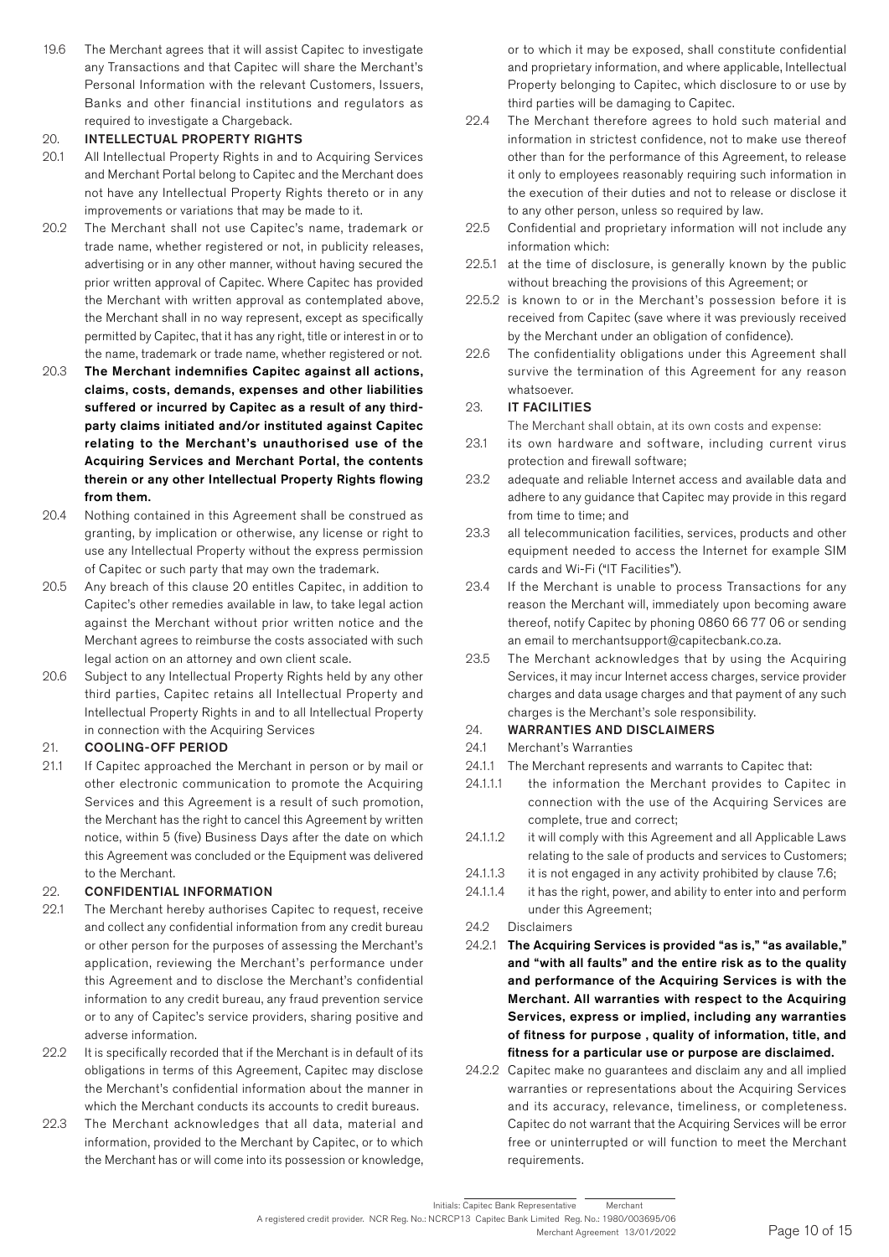19.6 The Merchant agrees that it will assist Capitec to investigate any Transactions and that Capitec will share the Merchant's Personal Information with the relevant Customers, Issuers, Banks and other financial institutions and regulators as required to investigate a Chargeback.

### 20. INTELLECTUAL PROPERTY RIGHTS

- 20.1 All Intellectual Property Rights in and to Acquiring Services and Merchant Portal belong to Capitec and the Merchant does not have any Intellectual Property Rights thereto or in any improvements or variations that may be made to it.
- 20.2 The Merchant shall not use Capitec's name, trademark or trade name, whether registered or not, in publicity releases, advertising or in any other manner, without having secured the prior written approval of Capitec. Where Capitec has provided the Merchant with written approval as contemplated above, the Merchant shall in no way represent, except as specifically permitted by Capitec, that it has any right, title or interest in or to the name, trademark or trade name, whether registered or not.
- 20.3 The Merchant indemnifies Capitec against all actions, claims, costs, demands, expenses and other liabilities suffered or incurred by Capitec as a result of any thirdparty claims initiated and/or instituted against Capitec relating to the Merchant's unauthorised use of the Acquiring Services and Merchant Portal, the contents therein or any other Intellectual Property Rights flowing from them.
- 20.4 Nothing contained in this Agreement shall be construed as granting, by implication or otherwise, any license or right to use any Intellectual Property without the express permission of Capitec or such party that may own the trademark.
- 20.5 Any breach of this clause 20 entitles Capitec, in addition to Capitec's other remedies available in law, to take legal action against the Merchant without prior written notice and the Merchant agrees to reimburse the costs associated with such legal action on an attorney and own client scale.
- 20.6 Subject to any Intellectual Property Rights held by any other third parties, Capitec retains all Intellectual Property and Intellectual Property Rights in and to all Intellectual Property in connection with the Acquiring Services

### 21. COOLING-OFF PERIOD

21.1 If Capitec approached the Merchant in person or by mail or other electronic communication to promote the Acquiring Services and this Agreement is a result of such promotion, the Merchant has the right to cancel this Agreement by written notice, within 5 (five) Business Days after the date on which this Agreement was concluded or the Equipment was delivered to the Merchant.

### 22. CONFIDENTIAL INFORMATION

- 22.1 The Merchant hereby authorises Capitec to request, receive and collect any confidential information from any credit bureau or other person for the purposes of assessing the Merchant's application, reviewing the Merchant's performance under this Agreement and to disclose the Merchant's confidential information to any credit bureau, any fraud prevention service or to any of Capitec's service providers, sharing positive and adverse information.
- 22.2 It is specifically recorded that if the Merchant is in default of its obligations in terms of this Agreement, Capitec may disclose the Merchant's confidential information about the manner in which the Merchant conducts its accounts to credit bureaus.
- 22.3 The Merchant acknowledges that all data, material and information, provided to the Merchant by Capitec, or to which the Merchant has or will come into its possession or knowledge,

or to which it may be exposed, shall constitute confidential and proprietary information, and where applicable, Intellectual Property belonging to Capitec, which disclosure to or use by third parties will be damaging to Capitec.

- 22.4 The Merchant therefore agrees to hold such material and information in strictest confidence, not to make use thereof other than for the performance of this Agreement, to release it only to employees reasonably requiring such information in the execution of their duties and not to release or disclose it to any other person, unless so required by law.
- 22.5 Confidential and proprietary information will not include any information which:
- 22.5.1 at the time of disclosure, is generally known by the public without breaching the provisions of this Agreement; or
- 22.5.2 is known to or in the Merchant's possession before it is received from Capitec (save where it was previously received by the Merchant under an obligation of confidence).
- 22.6 The confidentiality obligations under this Agreement shall survive the termination of this Agreement for any reason whatsoever.

### 23. IT FACILITIES

The Merchant shall obtain, at its own costs and expense:

- 23.1 its own hardware and software, including current virus protection and firewall software;
- 23.2 adequate and reliable Internet access and available data and adhere to any guidance that Capitec may provide in this regard from time to time; and
- 23.3 all telecommunication facilities, services, products and other equipment needed to access the Internet for example SIM cards and Wi-Fi ("IT Facilities").
- 23.4 If the Merchant is unable to process Transactions for any reason the Merchant will, immediately upon becoming aware thereof, notify Capitec by phoning 0860 66 77 06 or sending an email to merchantsupport@capitecbank.co.za.
- 23.5 The Merchant acknowledges that by using the Acquiring Services, it may incur Internet access charges, service provider charges and data usage charges and that payment of any such charges is the Merchant's sole responsibility.
- 24. WARRANTIES AND DISCLAIMERS
- 24.1 Merchant's Warranties
- 24.1.1 The Merchant represents and warrants to Capitec that:
- 24.1.1.1 the information the Merchant provides to Capitec in connection with the use of the Acquiring Services are complete, true and correct;
- 24.1.1.2 it will comply with this Agreement and all Applicable Laws relating to the sale of products and services to Customers;
- 24.1.1.3 it is not engaged in any activity prohibited by clause 7.6;
- 24.1.1.4 it has the right, power, and ability to enter into and perform under this Agreement;
- 24.2 Disclaimers
- 24.2.1 The Acquiring Services is provided "as is," "as available," and "with all faults" and the entire risk as to the quality and performance of the Acquiring Services is with the Merchant. All warranties with respect to the Acquiring Services, express or implied, including any warranties of fitness for purpose , quality of information, title, and fitness for a particular use or purpose are disclaimed.
- 24.2.2 Capitec make no guarantees and disclaim any and all implied warranties or representations about the Acquiring Services and its accuracy, relevance, timeliness, or completeness. Capitec do not warrant that the Acquiring Services will be error free or uninterrupted or will function to meet the Merchant requirements.

Initials: Capitec Bank Representative Merchant

A registered credit provider. NCR Reg. No.: NCRCP13 Capitec Bank Limited Reg. No.: 1980/003695/06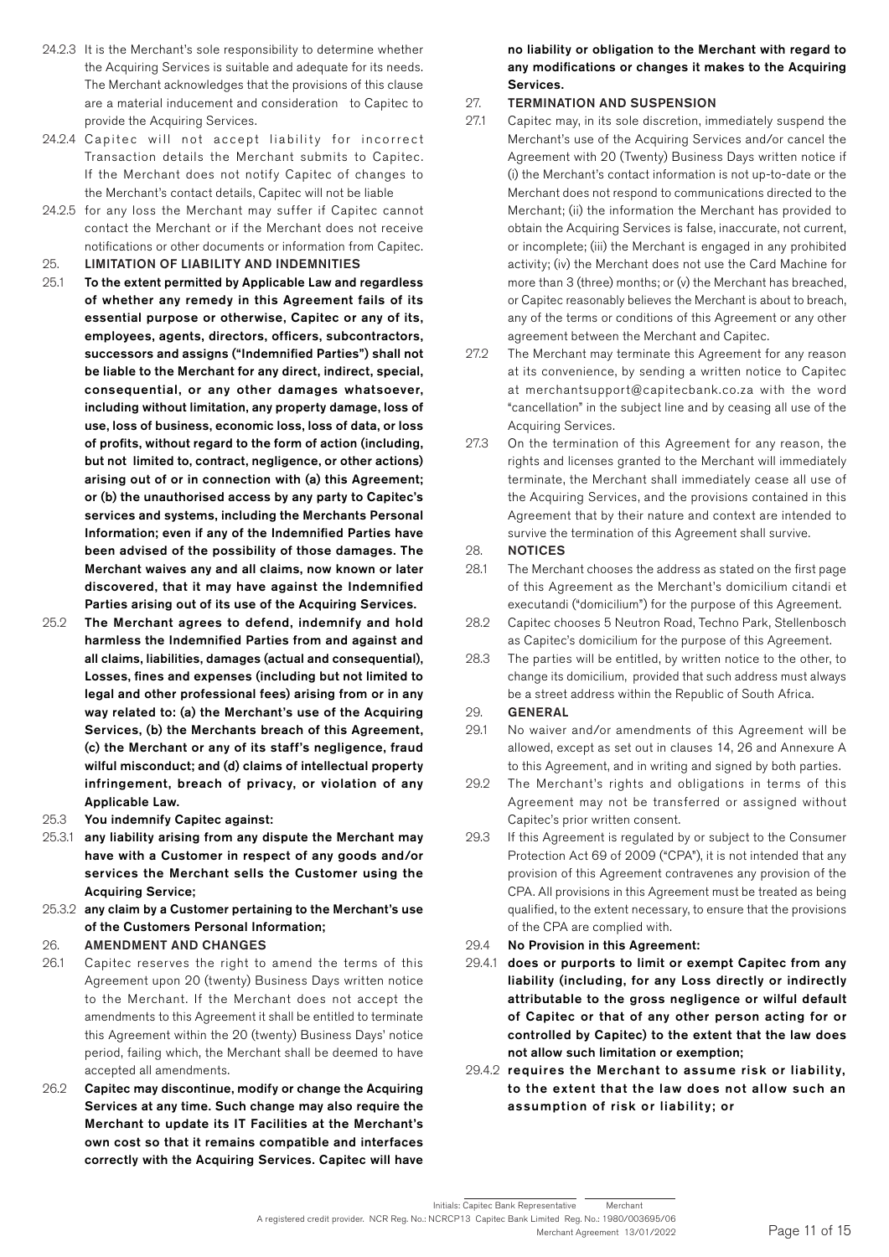- 24.2.3 It is the Merchant's sole responsibility to determine whether the Acquiring Services is suitable and adequate for its needs. The Merchant acknowledges that the provisions of this clause are a material inducement and consideration to Capitec to provide the Acquiring Services.
- 24.2.4 Capitec will not accept liability for incorrect Transaction details the Merchant submits to Capitec. If the Merchant does not notify Capitec of changes to the Merchant's contact details, Capitec will not be liable
- 24.2.5 for any loss the Merchant may suffer if Capitec cannot contact the Merchant or if the Merchant does not receive notifications or other documents or information from Capitec.
- 25. LIMITATION OF LIABILITY AND INDEMNITIES
- 25.1 To the extent permitted by Applicable Law and regardless of whether any remedy in this Agreement fails of its essential purpose or otherwise, Capitec or any of its, employees, agents, directors, officers, subcontractors, successors and assigns ("Indemnified Parties") shall not be liable to the Merchant for any direct, indirect, special, consequential, or any other damages whatsoever, including without limitation, any property damage, loss of use, loss of business, economic loss, loss of data, or loss of profits, without regard to the form of action (including, but not limited to, contract, negligence, or other actions) arising out of or in connection with (a) this Agreement; or (b) the unauthorised access by any party to Capitec's services and systems, including the Merchants Personal Information; even if any of the Indemnified Parties have been advised of the possibility of those damages. The Merchant waives any and all claims, now known or later discovered, that it may have against the Indemnified Parties arising out of its use of the Acquiring Services.
- 25.2 The Merchant agrees to defend, indemnify and hold harmless the Indemnified Parties from and against and all claims, liabilities, damages (actual and consequential), Losses, fines and expenses (including but not limited to legal and other professional fees) arising from or in any way related to: (a) the Merchant's use of the Acquiring Services, (b) the Merchants breach of this Agreement, (c) the Merchant or any of its staff's negligence, fraud wilful misconduct; and (d) claims of intellectual property infringement, breach of privacy, or violation of any Applicable Law.
- 25.3 You indemnify Capitec against:
- 25.3.1 any liability arising from any dispute the Merchant may have with a Customer in respect of any goods and/or services the Merchant sells the Customer using the Acquiring Service;
- 25.3.2 any claim by a Customer pertaining to the Merchant's use of the Customers Personal Information;

# 26. AMENDMENT AND CHANGES

- 26.1 Capitec reserves the right to amend the terms of this Agreement upon 20 (twenty) Business Days written notice to the Merchant. If the Merchant does not accept the amendments to this Agreement it shall be entitled to terminate this Agreement within the 20 (twenty) Business Days' notice period, failing which, the Merchant shall be deemed to have accepted all amendments.
- 26.2 Capitec may discontinue, modify or change the Acquiring Services at any time. Such change may also require the Merchant to update its IT Facilities at the Merchant's own cost so that it remains compatible and interfaces correctly with the Acquiring Services. Capitec will have

no liability or obligation to the Merchant with regard to any modifications or changes it makes to the Acquiring Services.

# 27. TERMINATION AND SUSPENSION

- 27.1 Capitec may, in its sole discretion, immediately suspend the Merchant's use of the Acquiring Services and/or cancel the Agreement with 20 (Twenty) Business Days written notice if (i) the Merchant's contact information is not up-to-date or the Merchant does not respond to communications directed to the Merchant; (ii) the information the Merchant has provided to obtain the Acquiring Services is false, inaccurate, not current, or incomplete; (iii) the Merchant is engaged in any prohibited activity; (iv) the Merchant does not use the Card Machine for more than 3 (three) months; or (v) the Merchant has breached, or Capitec reasonably believes the Merchant is about to breach, any of the terms or conditions of this Agreement or any other agreement between the Merchant and Capitec.
- 27.2 The Merchant may terminate this Agreement for any reason at its convenience, by sending a written notice to Capitec at merchantsupport@capitecbank.co.za with the word "cancellation" in the subject line and by ceasing all use of the Acquiring Services.
- 27.3 On the termination of this Agreement for any reason, the rights and licenses granted to the Merchant will immediately terminate, the Merchant shall immediately cease all use of the Acquiring Services, and the provisions contained in this Agreement that by their nature and context are intended to survive the termination of this Agreement shall survive.

### 28. NOTICES

- 28.1 The Merchant chooses the address as stated on the first page of this Agreement as the Merchant's domicilium citandi et executandi ("domicilium") for the purpose of this Agreement.
- 28.2 Capitec chooses 5 Neutron Road, Techno Park, Stellenbosch as Capitec's domicilium for the purpose of this Agreement.
- 28.3 The parties will be entitled, by written notice to the other, to change its domicilium, provided that such address must always be a street address within the Republic of South Africa.

### 29. GENERAL

- 29.1 No waiver and/or amendments of this Agreement will be allowed, except as set out in clauses 14, 26 and Annexure A to this Agreement, and in writing and signed by both parties.
- 29.2 The Merchant's rights and obligations in terms of this Agreement may not be transferred or assigned without Capitec's prior written consent.
- 29.3 If this Agreement is regulated by or subject to the Consumer Protection Act 69 of 2009 ("CPA"), it is not intended that any provision of this Agreement contravenes any provision of the CPA. All provisions in this Agreement must be treated as being qualified, to the extent necessary, to ensure that the provisions of the CPA are complied with.
- 29.4 No Provision in this Agreement:
- 29.4.1 does or purports to limit or exempt Capitec from any liability (including, for any Loss directly or indirectly attributable to the gross negligence or wilful default of Capitec or that of any other person acting for or controlled by Capitec) to the extent that the law does not allow such limitation or exemption;
- 29.4.2 requires the Merchant to assume risk or liability, to the extent that the law does not allow such an assumption of risk or liability; or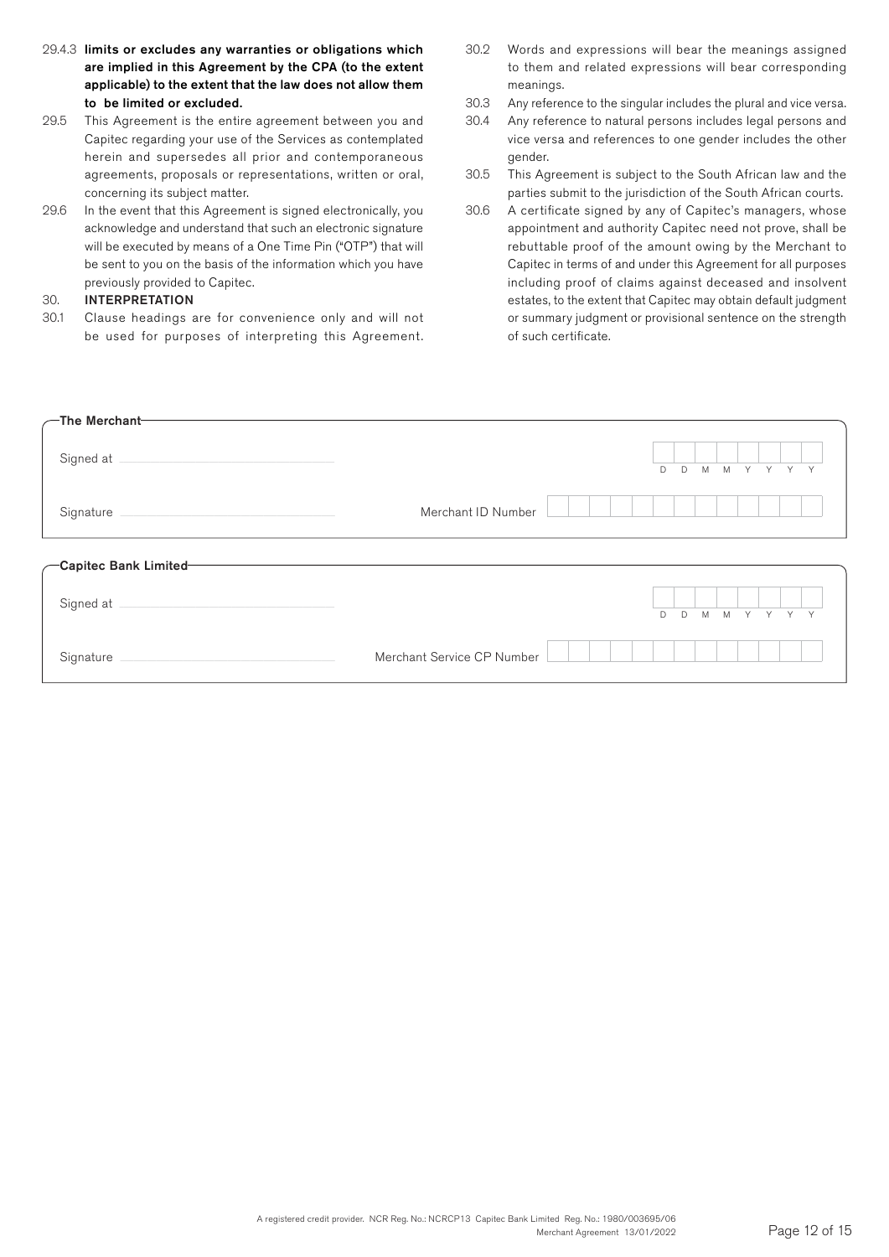- 29.4.3 limits or excludes any warranties or obligations which are implied in this Agreement by the CPA (to the extent applicable) to the extent that the law does not allow them to be limited or excluded.
- 29.5 This Agreement is the entire agreement between you and Capitec regarding your use of the Services as contemplated herein and supersedes all prior and contemporaneous agreements, proposals or representations, written or oral, concerning its subject matter.
- 29.6 In the event that this Agreement is signed electronically, you acknowledge and understand that such an electronic signature will be executed by means of a One Time Pin ("OTP") that will be sent to you on the basis of the information which you have previously provided to Capitec.

### 30. INTERPRETATION

30.1 Clause headings are for convenience only and will not be used for purposes of interpreting this Agreement.

- 30.2 Words and expressions will bear the meanings assigned to them and related expressions will bear corresponding meanings.
- 30.3 Any reference to the singular includes the plural and vice versa.
- 30.4 Any reference to natural persons includes legal persons and vice versa and references to one gender includes the other gender.
- 30.5 This Agreement is subject to the South African law and the parties submit to the jurisdiction of the South African courts.
- 30.6 A certificate signed by any of Capitec's managers, whose appointment and authority Capitec need not prove, shall be rebuttable proof of the amount owing by the Merchant to Capitec in terms of and under this Agreement for all purposes including proof of claims against deceased and insolvent estates, to the extent that Capitec may obtain default judgment or summary judgment or provisional sentence on the strength of such certificate.

| $\sqrt{-1}$ he Merchant $-$                                     |                            |   |             |         |  |              |  |
|-----------------------------------------------------------------|----------------------------|---|-------------|---------|--|--------------|--|
| Signed at                                                       |                            | D | $\mathsf D$ | M M Y Y |  | Y            |  |
| Signature<br><u> 1989 - Johann Barn, amerikansk politiker (</u> | Merchant ID Number         |   |             |         |  |              |  |
| -Capitec Bank Limited-                                          |                            |   |             |         |  |              |  |
| Signed at                                                       |                            | D | D           | M M Y Y |  | $\mathsf{Y}$ |  |
| Signature                                                       | Merchant Service CP Number |   |             |         |  |              |  |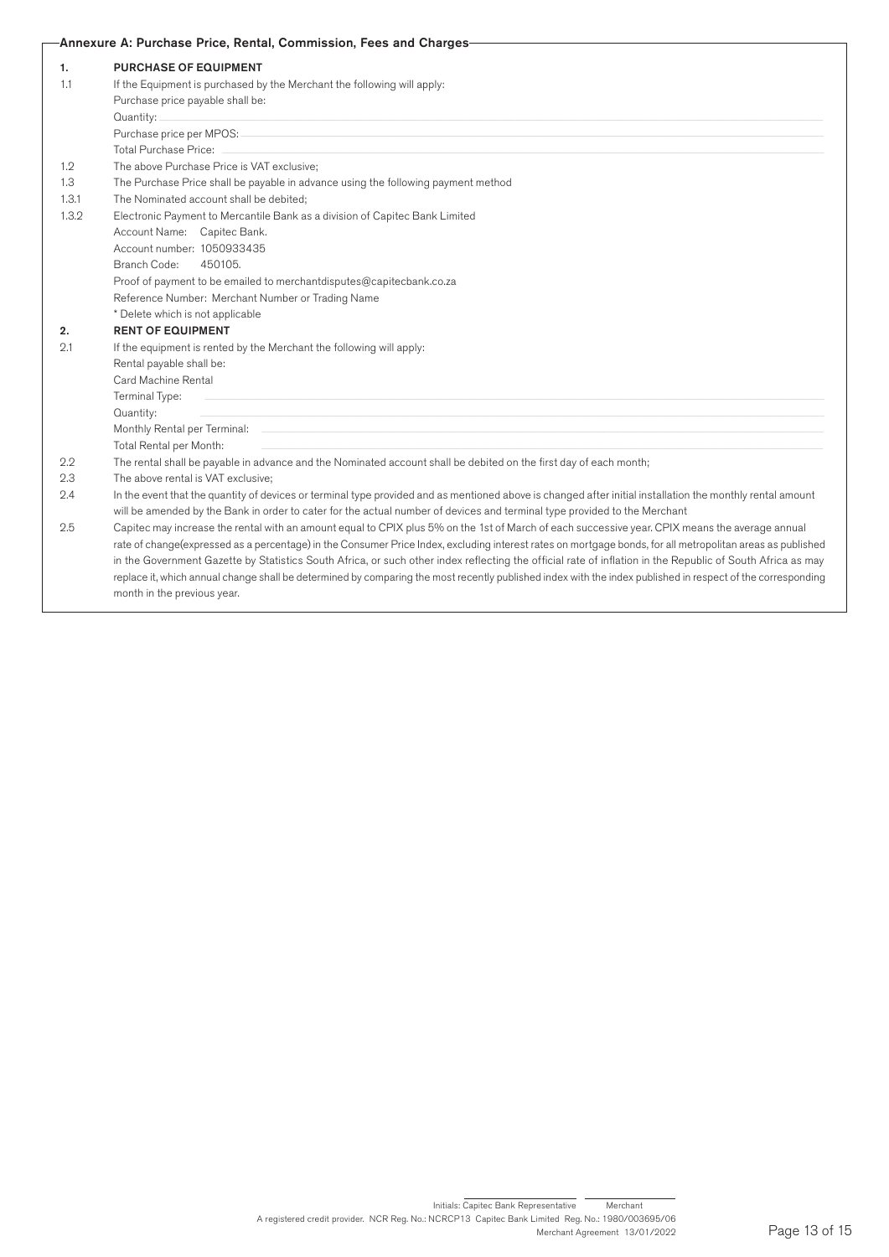### Annexure A: Purchase Price, Rental, Commission, Fees and Charges

| In the event that the quantity of devices or terminal type provided and as mentioned above is changed after initial installation the monthly rental amount  |
|-------------------------------------------------------------------------------------------------------------------------------------------------------------|
|                                                                                                                                                             |
| Capitec may increase the rental with an amount equal to CPIX plus 5% on the 1st of March of each successive year. CPIX means the average annual             |
| rate of change(expressed as a percentage) in the Consumer Price Index, excluding interest rates on mortgage bonds, for all metropolitan areas as published  |
| in the Government Gazette by Statistics South Africa, or such other index reflecting the official rate of inflation in the Republic of South Africa as may  |
| replace it, which annual change shall be determined by comparing the most recently published index with the index published in respect of the corresponding |
|                                                                                                                                                             |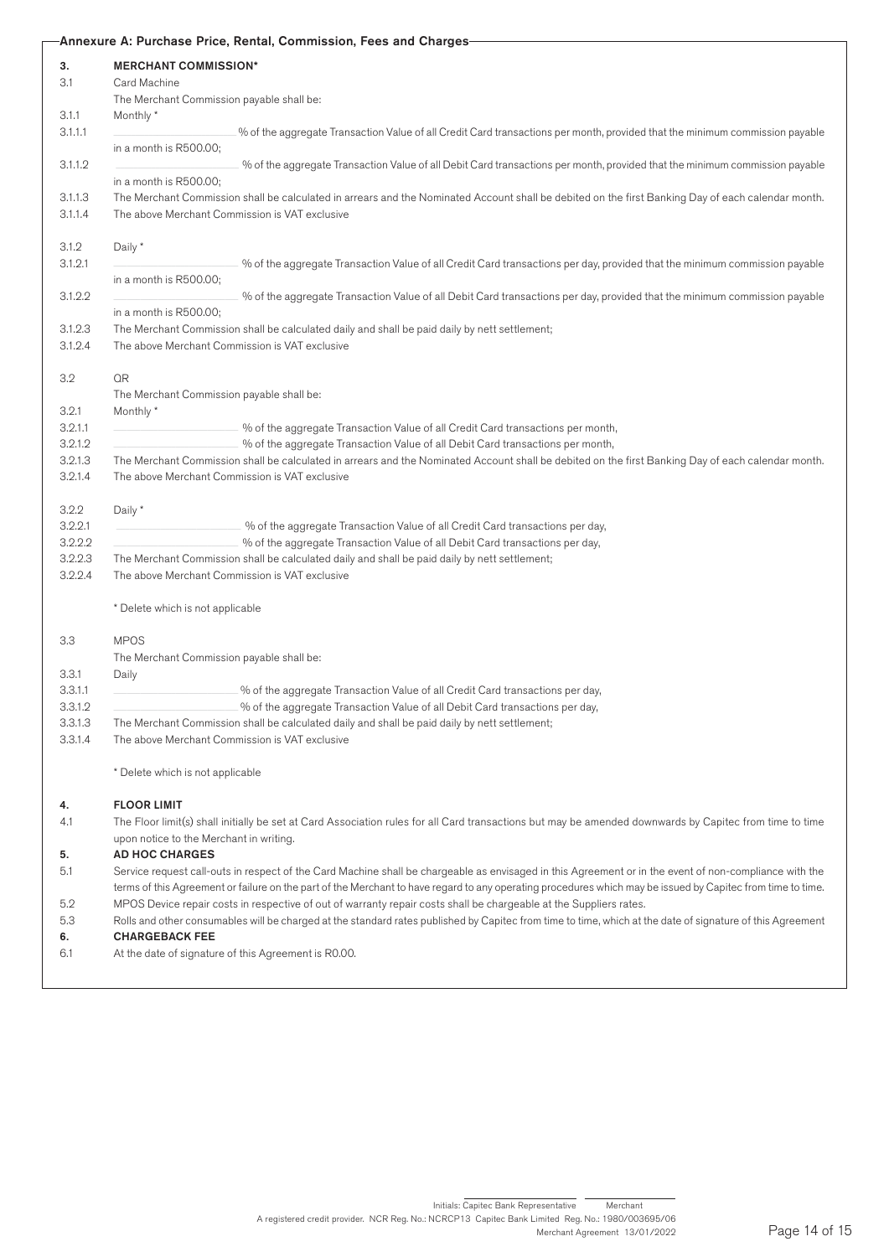|         |                                                                                                                                                                                                      | -Annexure A: Purchase Price, Rental, Commission, Fees and Charges-                                                                                          |  |  |  |  |  |  |  |  |
|---------|------------------------------------------------------------------------------------------------------------------------------------------------------------------------------------------------------|-------------------------------------------------------------------------------------------------------------------------------------------------------------|--|--|--|--|--|--|--|--|
| 3.      | <b>MERCHANT COMMISSION*</b>                                                                                                                                                                          |                                                                                                                                                             |  |  |  |  |  |  |  |  |
| 3.1     | Card Machine                                                                                                                                                                                         |                                                                                                                                                             |  |  |  |  |  |  |  |  |
|         | The Merchant Commission payable shall be:                                                                                                                                                            |                                                                                                                                                             |  |  |  |  |  |  |  |  |
| 3.1.1   | Monthly *                                                                                                                                                                                            |                                                                                                                                                             |  |  |  |  |  |  |  |  |
| 3.1.1.1 |                                                                                                                                                                                                      | % of the aggregate Transaction Value of all Credit Card transactions per month, provided that the minimum commission payable                                |  |  |  |  |  |  |  |  |
|         | in a month is R500.00;                                                                                                                                                                               |                                                                                                                                                             |  |  |  |  |  |  |  |  |
| 3.1.1.2 |                                                                                                                                                                                                      | % of the aggregate Transaction Value of all Debit Card transactions per month, provided that the minimum commission payable                                 |  |  |  |  |  |  |  |  |
|         | in a month is R500.00;                                                                                                                                                                               |                                                                                                                                                             |  |  |  |  |  |  |  |  |
| 3.1.1.3 |                                                                                                                                                                                                      | The Merchant Commission shall be calculated in arrears and the Nominated Account shall be debited on the first Banking Day of each calendar month.          |  |  |  |  |  |  |  |  |
| 3.1.1.4 | The above Merchant Commission is VAT exclusive                                                                                                                                                       |                                                                                                                                                             |  |  |  |  |  |  |  |  |
|         |                                                                                                                                                                                                      |                                                                                                                                                             |  |  |  |  |  |  |  |  |
| 3.1.2   | Daily *                                                                                                                                                                                              |                                                                                                                                                             |  |  |  |  |  |  |  |  |
|         |                                                                                                                                                                                                      |                                                                                                                                                             |  |  |  |  |  |  |  |  |
| 3.1.2.1 |                                                                                                                                                                                                      | % of the aggregate Transaction Value of all Credit Card transactions per day, provided that the minimum commission payable                                  |  |  |  |  |  |  |  |  |
|         | in a month is R500.00;                                                                                                                                                                               |                                                                                                                                                             |  |  |  |  |  |  |  |  |
| 3.1.2.2 |                                                                                                                                                                                                      | % of the aggregate Transaction Value of all Debit Card transactions per day, provided that the minimum commission payable                                   |  |  |  |  |  |  |  |  |
|         | in a month is R500.00;                                                                                                                                                                               |                                                                                                                                                             |  |  |  |  |  |  |  |  |
| 3.1.2.3 |                                                                                                                                                                                                      | The Merchant Commission shall be calculated daily and shall be paid daily by nett settlement;                                                               |  |  |  |  |  |  |  |  |
| 3.1.2.4 | The above Merchant Commission is VAT exclusive                                                                                                                                                       |                                                                                                                                                             |  |  |  |  |  |  |  |  |
|         |                                                                                                                                                                                                      |                                                                                                                                                             |  |  |  |  |  |  |  |  |
| 3.2     | QR                                                                                                                                                                                                   |                                                                                                                                                             |  |  |  |  |  |  |  |  |
|         | The Merchant Commission payable shall be:                                                                                                                                                            |                                                                                                                                                             |  |  |  |  |  |  |  |  |
| 3.2.1   | Monthly*                                                                                                                                                                                             |                                                                                                                                                             |  |  |  |  |  |  |  |  |
| 3.2.1.1 |                                                                                                                                                                                                      | % of the aggregate Transaction Value of all Credit Card transactions per month,                                                                             |  |  |  |  |  |  |  |  |
| 3.2.1.2 |                                                                                                                                                                                                      | % of the aggregate Transaction Value of all Debit Card transactions per month,                                                                              |  |  |  |  |  |  |  |  |
| 3.2.1.3 |                                                                                                                                                                                                      |                                                                                                                                                             |  |  |  |  |  |  |  |  |
| 3.2.1.4 | The Merchant Commission shall be calculated in arrears and the Nominated Account shall be debited on the first Banking Day of each calendar month.<br>The above Merchant Commission is VAT exclusive |                                                                                                                                                             |  |  |  |  |  |  |  |  |
|         |                                                                                                                                                                                                      |                                                                                                                                                             |  |  |  |  |  |  |  |  |
|         |                                                                                                                                                                                                      |                                                                                                                                                             |  |  |  |  |  |  |  |  |
| 3.2.2   | Daily *                                                                                                                                                                                              |                                                                                                                                                             |  |  |  |  |  |  |  |  |
| 3.2.2.1 |                                                                                                                                                                                                      | % of the aggregate Transaction Value of all Credit Card transactions per day,                                                                               |  |  |  |  |  |  |  |  |
| 3.2.2.2 |                                                                                                                                                                                                      | % of the aggregate Transaction Value of all Debit Card transactions per day,                                                                                |  |  |  |  |  |  |  |  |
| 3.2.2.3 |                                                                                                                                                                                                      | The Merchant Commission shall be calculated daily and shall be paid daily by nett settlement;                                                               |  |  |  |  |  |  |  |  |
| 3.2.2.4 | The above Merchant Commission is VAT exclusive                                                                                                                                                       |                                                                                                                                                             |  |  |  |  |  |  |  |  |
|         |                                                                                                                                                                                                      |                                                                                                                                                             |  |  |  |  |  |  |  |  |
|         | * Delete which is not applicable                                                                                                                                                                     |                                                                                                                                                             |  |  |  |  |  |  |  |  |
|         |                                                                                                                                                                                                      |                                                                                                                                                             |  |  |  |  |  |  |  |  |
| 3.3     | <b>MPOS</b>                                                                                                                                                                                          |                                                                                                                                                             |  |  |  |  |  |  |  |  |
|         | The Merchant Commission payable shall be:                                                                                                                                                            |                                                                                                                                                             |  |  |  |  |  |  |  |  |
| 3.3.1   | Daily                                                                                                                                                                                                |                                                                                                                                                             |  |  |  |  |  |  |  |  |
| 3.3.1.1 |                                                                                                                                                                                                      | % of the aggregate Transaction Value of all Credit Card transactions per day,                                                                               |  |  |  |  |  |  |  |  |
| 3.3.1.2 |                                                                                                                                                                                                      | % of the aggregate Transaction Value of all Debit Card transactions per day,                                                                                |  |  |  |  |  |  |  |  |
| 3.3.1.3 |                                                                                                                                                                                                      | The Merchant Commission shall be calculated daily and shall be paid daily by nett settlement;                                                               |  |  |  |  |  |  |  |  |
| 3.3.1.4 | The above Merchant Commission is VAT exclusive                                                                                                                                                       |                                                                                                                                                             |  |  |  |  |  |  |  |  |
|         |                                                                                                                                                                                                      |                                                                                                                                                             |  |  |  |  |  |  |  |  |
|         | * Delete which is not applicable                                                                                                                                                                     |                                                                                                                                                             |  |  |  |  |  |  |  |  |
|         |                                                                                                                                                                                                      |                                                                                                                                                             |  |  |  |  |  |  |  |  |
| 4.      | <b>FLOOR LIMIT</b>                                                                                                                                                                                   |                                                                                                                                                             |  |  |  |  |  |  |  |  |
| 4.1     |                                                                                                                                                                                                      | The Floor limit(s) shall initially be set at Card Association rules for all Card transactions but may be amended downwards by Capitec from time to time     |  |  |  |  |  |  |  |  |
|         | upon notice to the Merchant in writing.                                                                                                                                                              |                                                                                                                                                             |  |  |  |  |  |  |  |  |
| 5.      | <b>AD HOC CHARGES</b>                                                                                                                                                                                |                                                                                                                                                             |  |  |  |  |  |  |  |  |
| 5.1     |                                                                                                                                                                                                      | Service request call-outs in respect of the Card Machine shall be chargeable as envisaged in this Agreement or in the event of non-compliance with the      |  |  |  |  |  |  |  |  |
|         |                                                                                                                                                                                                      |                                                                                                                                                             |  |  |  |  |  |  |  |  |
|         |                                                                                                                                                                                                      | terms of this Agreement or failure on the part of the Merchant to have regard to any operating procedures which may be issued by Capitec from time to time. |  |  |  |  |  |  |  |  |
| 5.2     |                                                                                                                                                                                                      | MPOS Device repair costs in respective of out of warranty repair costs shall be chargeable at the Suppliers rates.                                          |  |  |  |  |  |  |  |  |
| 5.3     |                                                                                                                                                                                                      | Rolls and other consumables will be charged at the standard rates published by Capitec from time to time, which at the date of signature of this Agreement  |  |  |  |  |  |  |  |  |
| 6.      | <b>CHARGEBACK FEE</b>                                                                                                                                                                                |                                                                                                                                                             |  |  |  |  |  |  |  |  |
| 6.1     | At the date of signature of this Agreement is R0.00.                                                                                                                                                 |                                                                                                                                                             |  |  |  |  |  |  |  |  |